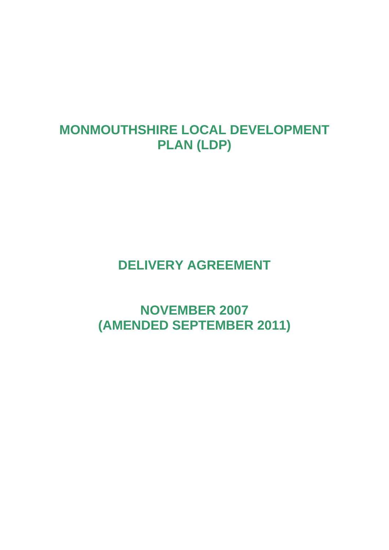## **MONMOUTHSHIRE LOCAL DEVELOPMENT PLAN (LDP)**

## **DELIVERY AGREEMENT**

**NOVEMBER 2007 (AMENDED SEPTEMBER 2011)**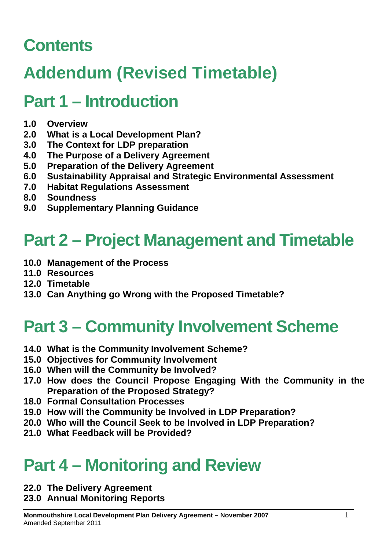## **Contents**

# **Addendum (Revised Timetable)**

## **Part 1 – Introduction**

- **1.0 Overview**
- **2.0 What is a Local Development Plan?**
- **3.0 The Context for LDP preparation**
- **4.0 The Purpose of a Delivery Agreement**
- **5.0 Preparation of the Delivery Agreement**
- **6.0 Sustainability Appraisal and Strategic Environmental Assessment**
- **7.0 Habitat Regulations Assessment**
- **8.0 Soundness**
- **9.0 Supplementary Planning Guidance**

## **Part 2 – Project Management and Timetable**

- **10.0 Management of the Process**
- **11.0 Resources**
- **12.0 Timetable**
- **13.0 Can Anything go Wrong with the Proposed Timetable?**

# **Part 3 – Community Involvement Scheme**

- **14.0 What is the Community Involvement Scheme?**
- **15.0 Objectives for Community Involvement**
- **16.0 When will the Community be Involved?**
- **17.0 How does the Council Propose Engaging With the Community in the Preparation of the Proposed Strategy?**
- **18.0 Formal Consultation Processes**
- **19.0 How will the Community be Involved in LDP Preparation?**
- **20.0 Who will the Council Seek to be Involved in LDP Preparation?**
- **21.0 What Feedback will be Provided?**

## **Part 4 – Monitoring and Review**

- **22.0 The Delivery Agreement**
- **23.0 Annual Monitoring Reports**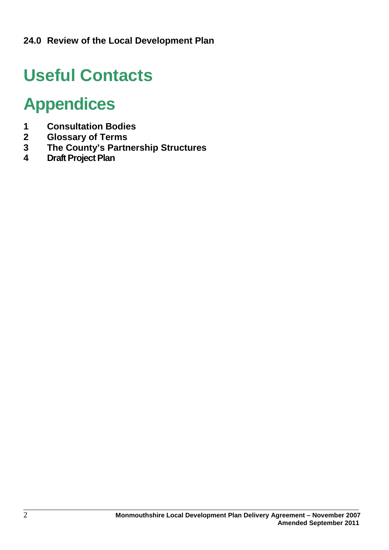# **Useful Contacts**

## **Appendices**

- **1 Consultation Bodies**
- **2 Glossary of Terms**
- **3 The County's Partnership Structures**
- **4 Draft Project Plan**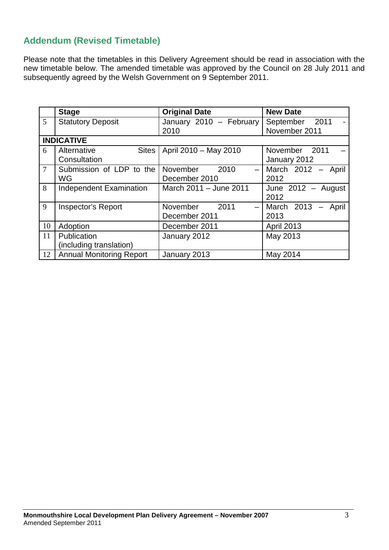## **Addendum (Revised Timetable)**

Please note that the timetables in this Delivery Agreement should be read in association with the new timetable below. The amended timetable was approved by the Council on 28 July 2011 and subsequently agreed by the Welsh Government on 9 September 2011.

|                 | <b>Stage</b>                                | <b>Original Date</b>                                          | <b>New Date</b>                 |
|-----------------|---------------------------------------------|---------------------------------------------------------------|---------------------------------|
| 5               | <b>Statutory Deposit</b>                    | January 2010 - February<br>2010                               | September 2011<br>November 2011 |
|                 | <b>INDICATIVE</b>                           |                                                               |                                 |
| 6               | <b>Sites</b><br>Alternative<br>Consultation | April 2010 - May 2010                                         | November 2011<br>January 2012   |
| $7\overline{ }$ | Submission of LDP to the<br>WG              | 2010<br>November<br>$\qquad \qquad$<br>December 2010          | March 2012 - April<br>2012      |
| 8               | <b>Independent Examination</b>              | March 2011 - June 2011                                        | June $2012 -$ August<br>2012    |
| 9               | <b>Inspector's Report</b>                   | 2011<br>November<br>$\overline{\phantom{m}}$<br>December 2011 | March 2013<br>April<br>2013     |
| 10              | Adoption                                    | December 2011                                                 | April 2013                      |
| 11              | Publication<br>(including translation)      | January 2012                                                  | May 2013                        |
| 12              | <b>Annual Monitoring Report</b>             | January 2013                                                  | May 2014                        |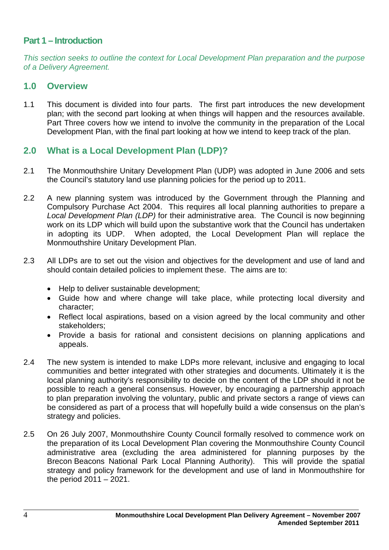## **Part 1 – Introduction**

*This section seeks to outline the context for Local Development Plan preparation and the purpose of a Delivery Agreement.*

#### **1.0 Overview**

1.1 This document is divided into four parts. The first part introduces the new development plan; with the second part looking at when things will happen and the resources available. Part Three covers how we intend to involve the community in the preparation of the Local Development Plan, with the final part looking at how we intend to keep track of the plan.

### **2.0 What is a Local Development Plan (LDP)?**

- 2.1 The Monmouthshire Unitary Development Plan (UDP) was adopted in June 2006 and sets the Council's statutory land use planning policies for the period up to 2011.
- 2.2 A new planning system was introduced by the Government through the Planning and Compulsory Purchase Act 2004. This requires all local planning authorities to prepare a *Local Development Plan (LDP)* for their administrative area. The Council is now beginning work on its LDP which will build upon the substantive work that the Council has undertaken in adopting its UDP. When adopted, the Local Development Plan will replace the Monmouthshire Unitary Development Plan.
- 2.3 All LDPs are to set out the vision and objectives for the development and use of land and should contain detailed policies to implement these. The aims are to:
	- Help to deliver sustainable development;
	- Guide how and where change will take place, while protecting local diversity and character;
	- Reflect local aspirations, based on a vision agreed by the local community and other stakeholders;
	- Provide a basis for rational and consistent decisions on planning applications and appeals.
- 2.4 The new system is intended to make LDPs more relevant, inclusive and engaging to local communities and better integrated with other strategies and documents. Ultimately it is the local planning authority's responsibility to decide on the content of the LDP should it not be possible to reach a general consensus. However, by encouraging a partnership approach to plan preparation involving the voluntary, public and private sectors a range of views can be considered as part of a process that will hopefully build a wide consensus on the plan's strategy and policies.
- 2.5 On 26 July 2007, Monmouthshire County Council formally resolved to commence work on the preparation of its Local Development Plan covering the Monmouthshire County Council administrative area (excluding the area administered for planning purposes by the Brecon Beacons National Park Local Planning Authority). This will provide the spatial strategy and policy framework for the development and use of land in Monmouthshire for the period 2011 – 2021.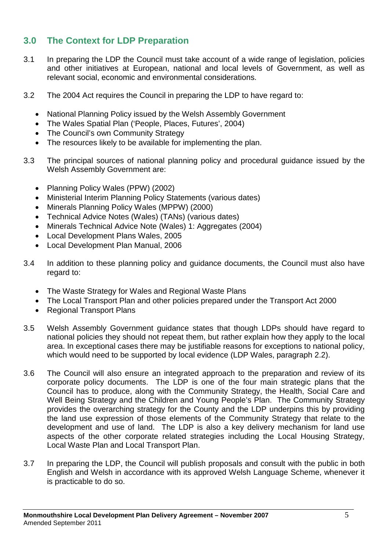## **3.0 The Context for LDP Preparation**

- 3.1 In preparing the LDP the Council must take account of a wide range of legislation, policies and other initiatives at European, national and local levels of Government, as well as relevant social, economic and environmental considerations.
- 3.2 The 2004 Act requires the Council in preparing the LDP to have regard to:
	- National Planning Policy issued by the Welsh Assembly Government
	- The Wales Spatial Plan ('People, Places, Futures', 2004)
	- The Council's own Community Strategy
	- The resources likely to be available for implementing the plan.
- 3.3 The principal sources of national planning policy and procedural guidance issued by the Welsh Assembly Government are:
	- Planning Policy Wales (PPW) (2002)
	- Ministerial Interim Planning Policy Statements (various dates)
	- Minerals Planning Policy Wales (MPPW) (2000)
	- Technical Advice Notes (Wales) (TANs) (various dates)
	- Minerals Technical Advice Note (Wales) 1: Aggregates (2004)
	- Local Development Plans Wales, 2005
	- Local Development Plan Manual, 2006
- 3.4 In addition to these planning policy and guidance documents, the Council must also have regard to:
	- The Waste Strategy for Wales and Regional Waste Plans
	- The Local Transport Plan and other policies prepared under the Transport Act 2000
	- Regional Transport Plans
- 3.5 Welsh Assembly Government guidance states that though LDPs should have regard to national policies they should not repeat them, but rather explain how they apply to the local area. In exceptional cases there may be justifiable reasons for exceptions to national policy, which would need to be supported by local evidence (LDP Wales, paragraph 2.2).
- 3.6 The Council will also ensure an integrated approach to the preparation and review of its corporate policy documents. The LDP is one of the four main strategic plans that the Council has to produce, along with the Community Strategy, the Health, Social Care and Well Being Strategy and the Children and Young People's Plan. The Community Strategy provides the overarching strategy for the County and the LDP underpins this by providing the land use expression of those elements of the Community Strategy that relate to the development and use of land. The LDP is also a key delivery mechanism for land use aspects of the other corporate related strategies including the Local Housing Strategy, Local Waste Plan and Local Transport Plan.
- 3.7 In preparing the LDP, the Council will publish proposals and consult with the public in both English and Welsh in accordance with its approved Welsh Language Scheme, whenever it is practicable to do so.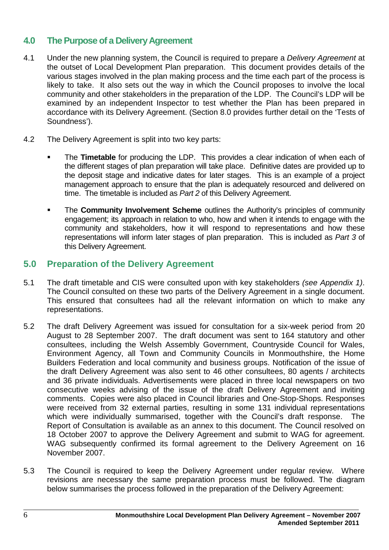## **4.0 The Purpose of a Delivery Agreement**

- 4.1 Under the new planning system, the Council is required to prepare a *Delivery Agreement* at the outset of Local Development Plan preparation. This document provides details of the various stages involved in the plan making process and the time each part of the process is likely to take. It also sets out the way in which the Council proposes to involve the local community and other stakeholders in the preparation of the LDP. The Council's LDP will be examined by an independent Inspector to test whether the Plan has been prepared in accordance with its Delivery Agreement. (Section 8.0 provides further detail on the 'Tests of Soundness').
- 4.2 The Delivery Agreement is split into two key parts:
	- The **Timetable** for producing the LDP. This provides a clear indication of when each of the different stages of plan preparation will take place. Definitive dates are provided up to the deposit stage and indicative dates for later stages. This is an example of a project management approach to ensure that the plan is adequately resourced and delivered on time. The timetable is included as *Part 2* of this Delivery Agreement.
	- **The Community Involvement Scheme** outlines the Authority's principles of community engagement; its approach in relation to who, how and when it intends to engage with the community and stakeholders, how it will respond to representations and how these representations will inform later stages of plan preparation. This is included as *Part 3* of this Delivery Agreement.

## **5.0 Preparation of the Delivery Agreement**

- 5.1 The draft timetable and CIS were consulted upon with key stakeholders *(see Appendix 1)*. The Council consulted on these two parts of the Delivery Agreement in a single document. This ensured that consultees had all the relevant information on which to make any representations.
- 5.2 The draft Delivery Agreement was issued for consultation for a six-week period from 20 August to 28 September 2007. The draft document was sent to 164 statutory and other consultees, including the Welsh Assembly Government, Countryside Council for Wales, Environment Agency, all Town and Community Councils in Monmouthshire, the Home Builders Federation and local community and business groups. Notification of the issue of the draft Delivery Agreement was also sent to 46 other consultees, 80 agents / architects and 36 private individuals. Advertisements were placed in three local newspapers on two consecutive weeks advising of the issue of the draft Delivery Agreement and inviting comments. Copies were also placed in Council libraries and One-Stop-Shops. Responses were received from 32 external parties, resulting in some 131 individual representations which were individually summarised, together with the Council's draft response. The Report of Consultation is available as an annex to this document. The Council resolved on 18 October 2007 to approve the Delivery Agreement and submit to WAG for agreement. WAG subsequently confirmed its formal agreement to the Delivery Agreement on 16 November 2007.
- 5.3 The Council is required to keep the Delivery Agreement under regular review. Where revisions are necessary the same preparation process must be followed. The diagram below summarises the process followed in the preparation of the Delivery Agreement: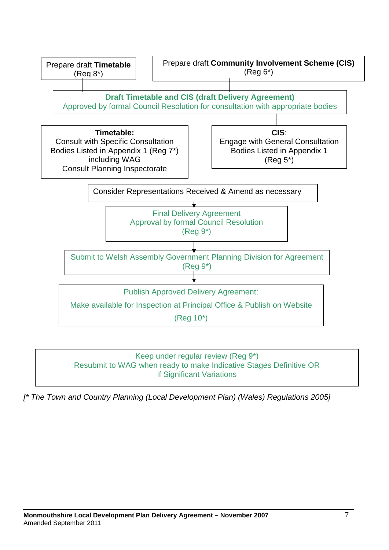



*[\* The Town and Country Planning (Local Development Plan) (Wales) Regulations 2005]*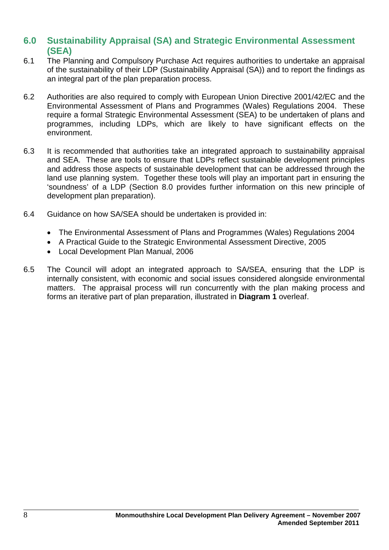## **6.0 Sustainability Appraisal (SA) and Strategic Environmental Assessment (SEA)**

- 6.1 The Planning and Compulsory Purchase Act requires authorities to undertake an appraisal of the sustainability of their LDP (Sustainability Appraisal (SA)) and to report the findings as an integral part of the plan preparation process.
- 6.2 Authorities are also required to comply with European Union Directive 2001/42/EC and the Environmental Assessment of Plans and Programmes (Wales) Regulations 2004. These require a formal Strategic Environmental Assessment (SEA) to be undertaken of plans and programmes, including LDPs, which are likely to have significant effects on the environment.
- 6.3 It is recommended that authorities take an integrated approach to sustainability appraisal and SEA. These are tools to ensure that LDPs reflect sustainable development principles and address those aspects of sustainable development that can be addressed through the land use planning system. Together these tools will play an important part in ensuring the 'soundness' of a LDP (Section 8.0 provides further information on this new principle of development plan preparation).
- 6.4 Guidance on how SA/SEA should be undertaken is provided in:
	- The Environmental Assessment of Plans and Programmes (Wales) Regulations 2004
	- A Practical Guide to the Strategic Environmental Assessment Directive, 2005
	- Local Development Plan Manual, 2006
- 6.5 The Council will adopt an integrated approach to SA/SEA, ensuring that the LDP is internally consistent, with economic and social issues considered alongside environmental matters. The appraisal process will run concurrently with the plan making process and forms an iterative part of plan preparation, illustrated in **Diagram 1** overleaf.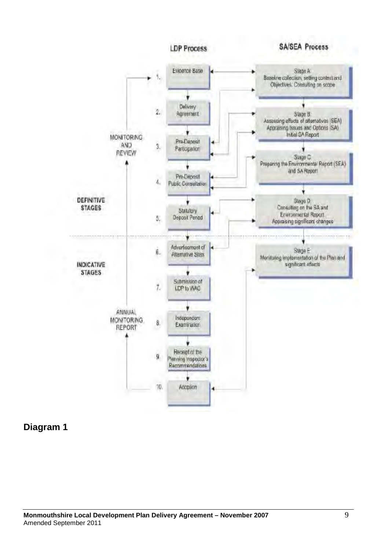

**Diagram 1**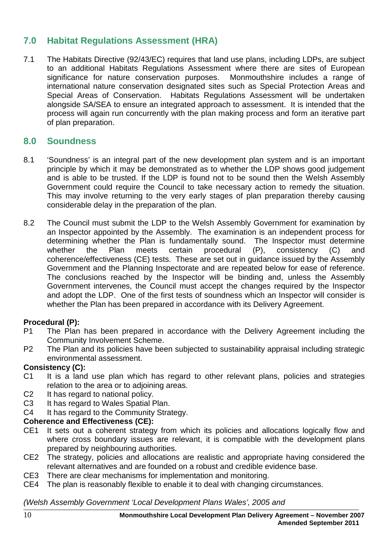## **7.0 Habitat Regulations Assessment (HRA)**

7.1 The Habitats Directive (92/43/EC) requires that land use plans, including LDPs, are subject to an additional Habitats Regulations Assessment where there are sites of European significance for nature conservation purposes. Monmouthshire includes a range of international nature conservation designated sites such as Special Protection Areas and Special Areas of Conservation. Habitats Regulations Assessment will be undertaken alongside SA/SEA to ensure an integrated approach to assessment. It is intended that the process will again run concurrently with the plan making process and form an iterative part of plan preparation.

## **8.0 Soundness**

- 8.1 'Soundness' is an integral part of the new development plan system and is an important principle by which it may be demonstrated as to whether the LDP shows good judgement and is able to be trusted. If the LDP is found not to be sound then the Welsh Assembly Government could require the Council to take necessary action to remedy the situation. This may involve returning to the very early stages of plan preparation thereby causing considerable delay in the preparation of the plan.
- 8.2 The Council must submit the LDP to the Welsh Assembly Government for examination by an Inspector appointed by the Assembly. The examination is an independent process for determining whether the Plan is fundamentally sound. The Inspector must determine<br>whether the Plan meets certain procedural (P), consistency (C) and whether the Plan meets certain procedural (P), consistency (C) and coherence/effectiveness (CE) tests. These are set out in guidance issued by the Assembly Government and the Planning Inspectorate and are repeated below for ease of reference. The conclusions reached by the Inspector will be binding and, unless the Assembly Government intervenes, the Council must accept the changes required by the Inspector and adopt the LDP. One of the first tests of soundness which an Inspector will consider is whether the Plan has been prepared in accordance with its Delivery Agreement.

### **Procedural (P):**

- P1 The Plan has been prepared in accordance with the Delivery Agreement including the Community Involvement Scheme.
- P2 The Plan and its policies have been subjected to sustainability appraisal including strategic environmental assessment.

#### **Consistency (C):**

- C1 It is a land use plan which has regard to other relevant plans, policies and strategies relation to the area or to adjoining areas.
- C<sub>2</sub> It has regard to national policy.
- C3 It has regard to Wales Spatial Plan.
- C4 It has regard to the Community Strategy.

### **Coherence and Effectiveness (CE):**

- CE1 It sets out a coherent strategy from which its policies and allocations logically flow and where cross boundary issues are relevant, it is compatible with the development plans prepared by neighbouring authorities.
- CE2 The strategy, policies and allocations are realistic and appropriate having considered the relevant alternatives and are founded on a robust and credible evidence base.
- CE3 There are clear mechanisms for implementation and monitoring.
- CE4 The plan is reasonably flexible to enable it to deal with changing circumstances.

#### *(Welsh Assembly Government 'Local Development Plans Wales', 2005 and*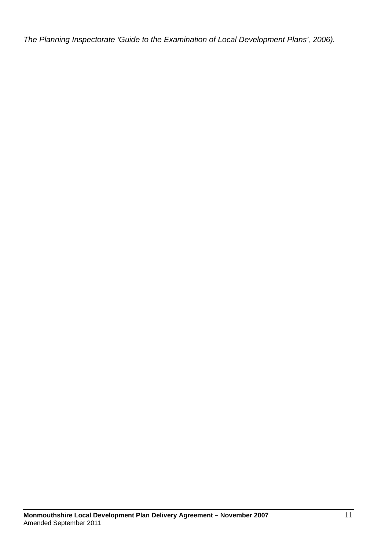*The Planning Inspectorate 'Guide to the Examination of Local Development Plans', 2006).*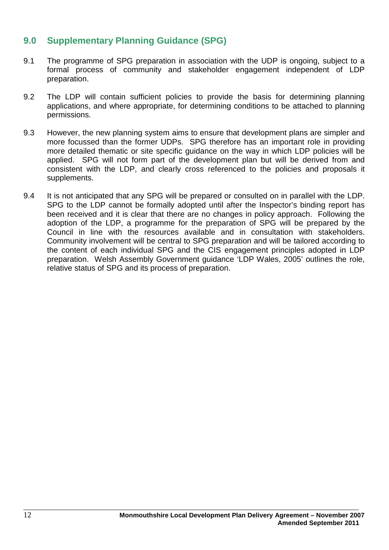## **9.0 Supplementary Planning Guidance (SPG)**

- 9.1 The programme of SPG preparation in association with the UDP is ongoing, subject to a formal process of community and stakeholder engagement independent of LDP preparation.
- 9.2 The LDP will contain sufficient policies to provide the basis for determining planning applications, and where appropriate, for determining conditions to be attached to planning permissions.
- 9.3 However, the new planning system aims to ensure that development plans are simpler and more focussed than the former UDPs. SPG therefore has an important role in providing more detailed thematic or site specific guidance on the way in which LDP policies will be applied. SPG will not form part of the development plan but will be derived from and consistent with the LDP, and clearly cross referenced to the policies and proposals it supplements.
- 9.4 It is not anticipated that any SPG will be prepared or consulted on in parallel with the LDP. SPG to the LDP cannot be formally adopted until after the Inspector's binding report has been received and it is clear that there are no changes in policy approach. Following the adoption of the LDP, a programme for the preparation of SPG will be prepared by the Council in line with the resources available and in consultation with stakeholders. Community involvement will be central to SPG preparation and will be tailored according to the content of each individual SPG and the CIS engagement principles adopted in LDP preparation. Welsh Assembly Government guidance 'LDP Wales, 2005' outlines the role, relative status of SPG and its process of preparation.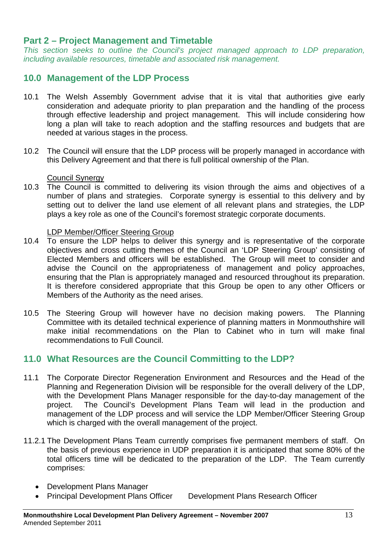## **Part 2 – Project Management and Timetable**

*This section seeks to outline the Council's project managed approach to LDP preparation, including available resources, timetable and associated risk management.*

## **10.0 Management of the LDP Process**

- 10.1 The Welsh Assembly Government advise that it is vital that authorities give early consideration and adequate priority to plan preparation and the handling of the process through effective leadership and project management. This will include considering how long a plan will take to reach adoption and the staffing resources and budgets that are needed at various stages in the process.
- 10.2 The Council will ensure that the LDP process will be properly managed in accordance with this Delivery Agreement and that there is full political ownership of the Plan.

#### Council Synergy

10.3 The Council is committed to delivering its vision through the aims and objectives of a number of plans and strategies. Corporate synergy is essential to this delivery and by setting out to deliver the land use element of all relevant plans and strategies, the LDP plays a key role as one of the Council's foremost strategic corporate documents.

#### LDP Member/Officer Steering Group

- 10.4 To ensure the LDP helps to deliver this synergy and is representative of the corporate objectives and cross cutting themes of the Council an 'LDP Steering Group' consisting of Elected Members and officers will be established. The Group will meet to consider and advise the Council on the appropriateness of management and policy approaches, ensuring that the Plan is appropriately managed and resourced throughout its preparation. It is therefore considered appropriate that this Group be open to any other Officers or Members of the Authority as the need arises.
- 10.5 The Steering Group will however have no decision making powers. The Planning Committee with its detailed technical experience of planning matters in Monmouthshire will make initial recommendations on the Plan to Cabinet who in turn will make final recommendations to Full Council.

### **11.0 What Resources are the Council Committing to the LDP?**

- 11.1 The Corporate Director Regeneration Environment and Resources and the Head of the Planning and Regeneration Division will be responsible for the overall delivery of the LDP, with the Development Plans Manager responsible for the day-to-day management of the project. The Council's Development Plans Team will lead in the production and management of the LDP process and will service the LDP Member/Officer Steering Group which is charged with the overall management of the project.
- 11.2.1 The Development Plans Team currently comprises five permanent members of staff. On the basis of previous experience in UDP preparation it is anticipated that some 80% of the total officers time will be dedicated to the preparation of the LDP. The Team currently comprises:
	- Development Plans Manager
	- Principal Development Plans Officer Development Plans Research Officer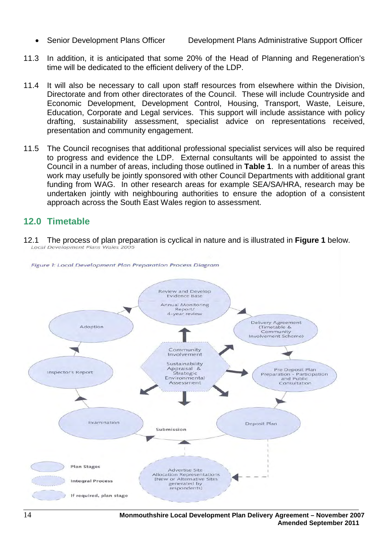• Senior Development Plans Officer Development Plans Administrative Support Officer

- 11.3 In addition, it is anticipated that some 20% of the Head of Planning and Regeneration's time will be dedicated to the efficient delivery of the LDP.
- 11.4 It will also be necessary to call upon staff resources from elsewhere within the Division, Directorate and from other directorates of the Council. These will include Countryside and Economic Development, Development Control, Housing, Transport, Waste, Leisure, Education, Corporate and Legal services. This support will include assistance with policy drafting, sustainability assessment, specialist advice on representations received, presentation and community engagement.
- 11.5 The Council recognises that additional professional specialist services will also be required to progress and evidence the LDP. External consultants will be appointed to assist the Council in a number of areas, including those outlined in **Table 1**. In a number of areas this work may usefully be jointly sponsored with other Council Departments with additional grant funding from WAG. In other research areas for example SEA/SA/HRA, research may be undertaken jointly with neighbouring authorities to ensure the adoption of a consistent approach across the South East Wales region to assessment.

## **12.0 Timetable**

12.1 The process of plan preparation is cyclical in nature and is illustrated in **Figure 1** below.

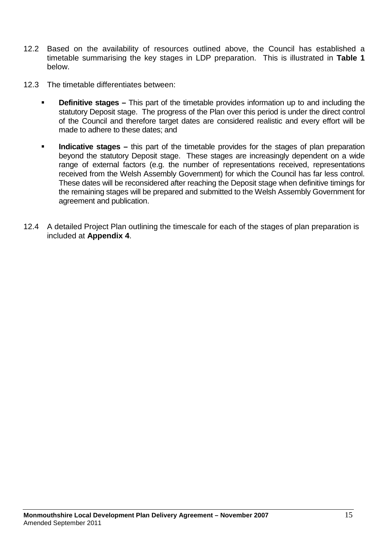- 12.2 Based on the availability of resources outlined above, the Council has established a timetable summarising the key stages in LDP preparation. This is illustrated in **Table 1** below.
- 12.3 The timetable differentiates between:
	- **Definitive stages** This part of the timetable provides information up to and including the statutory Deposit stage. The progress of the Plan over this period is under the direct control of the Council and therefore target dates are considered realistic and every effort will be made to adhere to these dates; and
	- **Indicative stages** this part of the timetable provides for the stages of plan preparation beyond the statutory Deposit stage. These stages are increasingly dependent on a wide range of external factors (e.g. the number of representations received, representations received from the Welsh Assembly Government) for which the Council has far less control. These dates will be reconsidered after reaching the Deposit stage when definitive timings for the remaining stages will be prepared and submitted to the Welsh Assembly Government for agreement and publication.
- 12.4 A detailed Project Plan outlining the timescale for each of the stages of plan preparation is included at **Appendix 4**.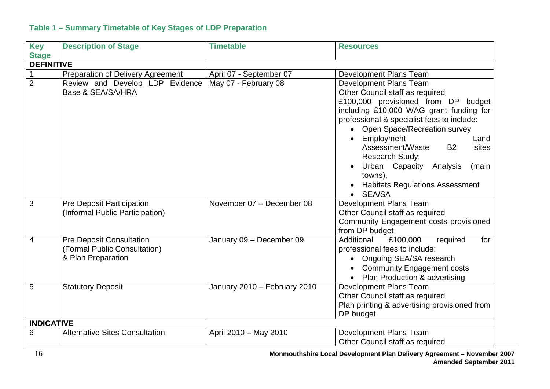#### **Table 1 – Summary Timetable of Key Stages of LDP Preparation**

| <b>Key</b>        | <b>Description of Stage</b>              | <b>Timetable</b>             | <b>Resources</b>                             |
|-------------------|------------------------------------------|------------------------------|----------------------------------------------|
| <b>Stage</b>      |                                          |                              |                                              |
| <b>DEFINITIVE</b> |                                          |                              |                                              |
|                   | <b>Preparation of Delivery Agreement</b> | April 07 - September 07      | Development Plans Team                       |
| $\overline{2}$    | Review and Develop LDP Evidence          | May 07 - February 08         | Development Plans Team                       |
|                   | Base & SEA/SA/HRA                        |                              | Other Council staff as required              |
|                   |                                          |                              | £100,000 provisioned from DP budget          |
|                   |                                          |                              | including £10,000 WAG grant funding for      |
|                   |                                          |                              | professional & specialist fees to include:   |
|                   |                                          |                              | • Open Space/Recreation survey               |
|                   |                                          |                              | • Employment<br>Land                         |
|                   |                                          |                              | Assessment/Waste<br><b>B2</b><br>sites       |
|                   |                                          |                              | Research Study;                              |
|                   |                                          |                              | Urban Capacity Analysis<br>(main<br>towns),  |
|                   |                                          |                              | <b>Habitats Regulations Assessment</b>       |
|                   |                                          |                              | • SEA/SA                                     |
| 3                 | Pre Deposit Participation                | November 07 - December 08    | Development Plans Team                       |
|                   | (Informal Public Participation)          |                              | Other Council staff as required              |
|                   |                                          |                              | Community Engagement costs provisioned       |
|                   |                                          |                              | from DP budget                               |
| $\overline{4}$    | <b>Pre Deposit Consultation</b>          | January 09 - December 09     | Additional<br>£100,000<br>required<br>for    |
|                   | (Formal Public Consultation)             |                              | professional fees to include:                |
|                   | & Plan Preparation                       |                              | Ongoing SEA/SA research                      |
|                   |                                          |                              | <b>Community Engagement costs</b>            |
|                   |                                          |                              | Plan Production & advertising<br>$\bullet$   |
| 5                 | <b>Statutory Deposit</b>                 | January 2010 - February 2010 | Development Plans Team                       |
|                   |                                          |                              | Other Council staff as required              |
|                   |                                          |                              | Plan printing & advertising provisioned from |
|                   |                                          |                              | DP budget                                    |
| <b>INDICATIVE</b> |                                          |                              |                                              |
| 6                 | <b>Alternative Sites Consultation</b>    | April 2010 - May 2010        | Development Plans Team                       |
|                   |                                          |                              | Other Council staff as required              |

16 **Monmouthshire Local Development Plan Delivery Agreement – November 2007 Amended September 2011**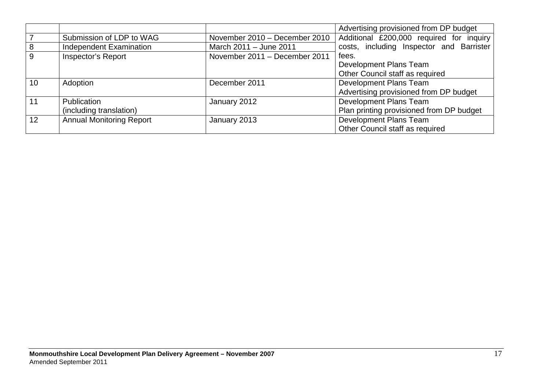|    |                                 |                               | Advertising provisioned from DP budget   |
|----|---------------------------------|-------------------------------|------------------------------------------|
|    | Submission of LDP to WAG        | November 2010 - December 2010 | Additional £200,000 required for inquiry |
| 8  | Independent Examination         | March 2011 - June 2011        | costs, including Inspector and Barrister |
| 9  | Inspector's Report              | November 2011 - December 2011 | fees.                                    |
|    |                                 |                               | Development Plans Team                   |
|    |                                 |                               | Other Council staff as required          |
| 10 | Adoption                        | December 2011                 | Development Plans Team                   |
|    |                                 |                               | Advertising provisioned from DP budget   |
| 11 | <b>Publication</b>              | January 2012                  | Development Plans Team                   |
|    | (including translation)         |                               | Plan printing provisioned from DP budget |
| 12 | <b>Annual Monitoring Report</b> | January 2013                  | Development Plans Team                   |
|    |                                 |                               | Other Council staff as required          |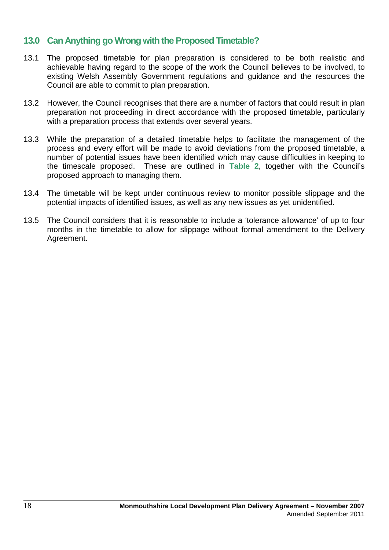### **13.0 Can Anything go Wrong with the Proposed Timetable?**

- 13.1 The proposed timetable for plan preparation is considered to be both realistic and achievable having regard to the scope of the work the Council believes to be involved, to existing Welsh Assembly Government regulations and guidance and the resources the Council are able to commit to plan preparation.
- 13.2 However, the Council recognises that there are a number of factors that could result in plan preparation not proceeding in direct accordance with the proposed timetable, particularly with a preparation process that extends over several years.
- 13.3 While the preparation of a detailed timetable helps to facilitate the management of the process and every effort will be made to avoid deviations from the proposed timetable, a number of potential issues have been identified which may cause difficulties in keeping to the timescale proposed. These are outlined in **Table 2**, together with the Council's proposed approach to managing them.
- 13.4 The timetable will be kept under continuous review to monitor possible slippage and the potential impacts of identified issues, as well as any new issues as yet unidentified.
- 13.5 The Council considers that it is reasonable to include a 'tolerance allowance' of up to four months in the timetable to allow for slippage without formal amendment to the Delivery Agreement.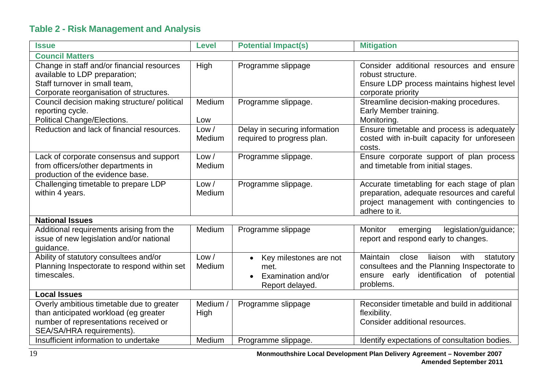## **Table 2 - Risk Management and Analysis**

| <b>Issue</b>                                                                                                                                             | <b>Level</b>     | <b>Potential Impact(s)</b>                                                           | <b>Mitigation</b>                                                                                                                                                  |  |
|----------------------------------------------------------------------------------------------------------------------------------------------------------|------------------|--------------------------------------------------------------------------------------|--------------------------------------------------------------------------------------------------------------------------------------------------------------------|--|
| <b>Council Matters</b>                                                                                                                                   |                  |                                                                                      |                                                                                                                                                                    |  |
| Change in staff and/or financial resources<br>available to LDP preparation;<br>Staff turnover in small team,<br>Corporate reorganisation of structures.  | High             | Programme slippage                                                                   | Consider additional resources and ensure<br>robust structure.<br>Ensure LDP process maintains highest level<br>corporate priority                                  |  |
| Council decision making structure/ political<br>reporting cycle.<br>Political Change/Elections.                                                          | Medium<br>Low    | Programme slippage.                                                                  | Streamline decision-making procedures.<br>Early Member training.<br>Monitoring.                                                                                    |  |
| Reduction and lack of financial resources.                                                                                                               | Low /<br>Medium  | Delay in securing information<br>required to progress plan.                          | Ensure timetable and process is adequately<br>costed with in-built capacity for unforeseen<br>costs.                                                               |  |
| Lack of corporate consensus and support<br>from officers/other departments in<br>production of the evidence base.                                        | Low /<br>Medium  | Programme slippage.                                                                  | Ensure corporate support of plan process<br>and timetable from initial stages.                                                                                     |  |
| Challenging timetable to prepare LDP<br>within 4 years.                                                                                                  | Low /<br>Medium  | Programme slippage.                                                                  | Accurate timetabling for each stage of plan<br>preparation, adequate resources and careful<br>project management with contingencies to<br>adhere to it.            |  |
| <b>National Issues</b>                                                                                                                                   |                  |                                                                                      |                                                                                                                                                                    |  |
| Additional requirements arising from the<br>issue of new legislation and/or national<br>guidance.                                                        | Medium           | Programme slippage                                                                   | <b>Monitor</b><br>legislation/guidance;<br>emerging<br>report and respond early to changes.                                                                        |  |
| Ability of statutory consultees and/or<br>Planning Inspectorate to respond within set<br>timescales.                                                     | Low /<br>Medium  | Key milestones are not<br>$\bullet$<br>met.<br>Examination and/or<br>Report delayed. | Maintain<br>close<br>liaison<br>with<br>statutory<br>consultees and the Planning Inspectorate to<br>ensure early<br>identification<br>potential<br>of<br>problems. |  |
| <b>Local Issues</b>                                                                                                                                      |                  |                                                                                      |                                                                                                                                                                    |  |
| Overly ambitious timetable due to greater<br>than anticipated workload (eg greater<br>number of representations received or<br>SEA/SA/HRA requirements). | Medium /<br>High | Programme slippage                                                                   | Reconsider timetable and build in additional<br>flexibility.<br>Consider additional resources.                                                                     |  |
| Insufficient information to undertake                                                                                                                    | Medium           | Programme slippage.                                                                  | Identify expectations of consultation bodies.                                                                                                                      |  |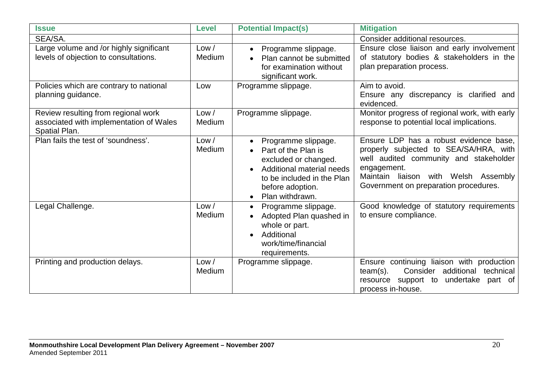| <b>Issue</b>                                                                                    | <b>Level</b>           | <b>Potential Impact(s)</b>                                                                                                                                           | <b>Mitigation</b>                                                                                                                                                                                                          |
|-------------------------------------------------------------------------------------------------|------------------------|----------------------------------------------------------------------------------------------------------------------------------------------------------------------|----------------------------------------------------------------------------------------------------------------------------------------------------------------------------------------------------------------------------|
| SEA/SA.                                                                                         |                        |                                                                                                                                                                      | Consider additional resources.                                                                                                                                                                                             |
| Large volume and /or highly significant<br>levels of objection to consultations.                | Low /<br>Medium        | Programme slippage.<br>$\bullet$<br>Plan cannot be submitted<br>for examination without<br>significant work.                                                         | Ensure close liaison and early involvement<br>of statutory bodies & stakeholders in the<br>plan preparation process.                                                                                                       |
| Policies which are contrary to national<br>planning guidance.                                   | Low                    | Programme slippage.                                                                                                                                                  | Aim to avoid.<br>Ensure any discrepancy is clarified and<br>evidenced.                                                                                                                                                     |
| Review resulting from regional work<br>associated with implementation of Wales<br>Spatial Plan. | Low /<br>Medium        | Programme slippage.                                                                                                                                                  | Monitor progress of regional work, with early<br>response to potential local implications.                                                                                                                                 |
| Plan fails the test of 'soundness'.                                                             | Low /<br><b>Medium</b> | Programme slippage.<br>Part of the Plan is<br>excluded or changed.<br>Additional material needs<br>to be included in the Plan<br>before adoption.<br>Plan withdrawn. | Ensure LDP has a robust evidence base,<br>properly subjected to SEA/SA/HRA, with<br>well audited community and stakeholder<br>engagement.<br>Maintain liaison with Welsh Assembly<br>Government on preparation procedures. |
| Legal Challenge.                                                                                | Low /<br>Medium        | Programme slippage.<br>Adopted Plan quashed in<br>whole or part.<br>Additional<br>work/time/financial<br>requirements.                                               | Good knowledge of statutory requirements<br>to ensure compliance.                                                                                                                                                          |
| Printing and production delays.                                                                 | Low /<br>Medium        | Programme slippage.                                                                                                                                                  | Ensure continuing liaison with production<br>Consider<br>additional<br>technical<br>$team(s)$ .<br>resource support to<br>undertake<br>part of<br>process in-house.                                                        |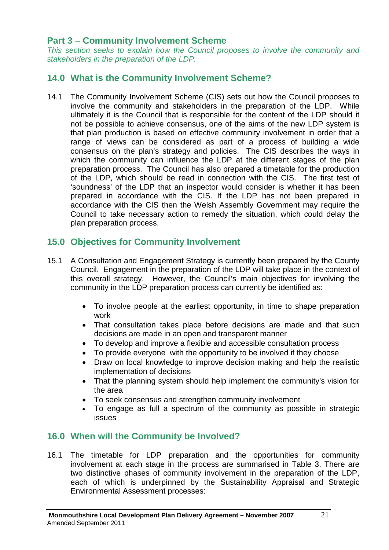## **Part 3 – Community Involvement Scheme**

*This section seeks to explain how the Council proposes to involve the community and stakeholders in the preparation of the LDP.*

## **14.0 What is the Community Involvement Scheme?**

14.1 The Community Involvement Scheme (CIS) sets out how the Council proposes to involve the community and stakeholders in the preparation of the LDP. While ultimately it is the Council that is responsible for the content of the LDP should it not be possible to achieve consensus, one of the aims of the new LDP system is that plan production is based on effective community involvement in order that a range of views can be considered as part of a process of building a wide consensus on the plan's strategy and policies. The CIS describes the ways in which the community can influence the LDP at the different stages of the plan preparation process. The Council has also prepared a timetable for the production of the LDP, which should be read in connection with the CIS. The first test of 'soundness' of the LDP that an inspector would consider is whether it has been prepared in accordance with the CIS. If the LDP has not been prepared in accordance with the CIS then the Welsh Assembly Government may require the Council to take necessary action to remedy the situation, which could delay the plan preparation process.

## **15.0 Objectives for Community Involvement**

- 15.1 A Consultation and Engagement Strategy is currently been prepared by the County Council. Engagement in the preparation of the LDP will take place in the context of this overall strategy. However, the Council's main objectives for involving the community in the LDP preparation process can currently be identified as:
	- To involve people at the earliest opportunity, in time to shape preparation work
	- That consultation takes place before decisions are made and that such decisions are made in an open and transparent manner
	- To develop and improve a flexible and accessible consultation process
	- To provide everyone with the opportunity to be involved if they choose
	- Draw on local knowledge to improve decision making and help the realistic implementation of decisions
	- That the planning system should help implement the community's vision for the area
	- To seek consensus and strengthen community involvement
	- To engage as full a spectrum of the community as possible in strategic issues

## **16.0 When will the Community be Involved?**

16.1 The timetable for LDP preparation and the opportunities for community involvement at each stage in the process are summarised in Table 3. There are two distinctive phases of community involvement in the preparation of the LDP, each of which is underpinned by the Sustainability Appraisal and Strategic Environmental Assessment processes: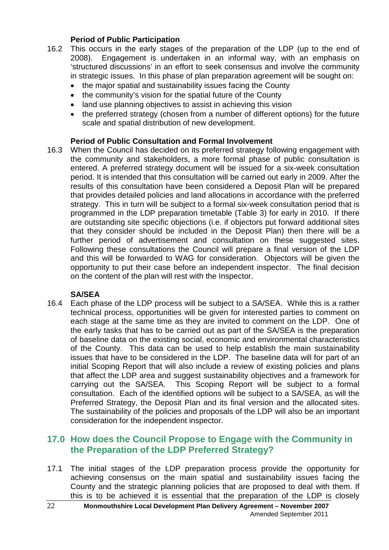#### **Period of Public Participation**

- 16.2 This occurs in the early stages of the preparation of the LDP (up to the end of 2008). Engagement is undertaken in an informal way, with an emphasis on 'structured discussions' in an effort to seek consensus and involve the community in strategic issues. In this phase of plan preparation agreement will be sought on:
	- the major spatial and sustainability issues facing the County
	- the community's vision for the spatial future of the County
	- land use planning objectives to assist in achieving this vision
	- the preferred strategy (chosen from a number of different options) for the future scale and spatial distribution of new development.

#### **Period of Public Consultation and Formal Involvement**

16.3 When the Council has decided on its preferred strategy following engagement with the community and stakeholders, a more formal phase of public consultation is entered. A preferred strategy document will be issued for a six-week consultation period. It is intended that this consultation will be carried out early in 2009. After the results of this consultation have been considered a Deposit Plan will be prepared that provides detailed policies and land allocations in accordance with the preferred strategy. This in turn will be subject to a formal six-week consultation period that is programmed in the LDP preparation timetable (Table 3) for early in 2010. If there are outstanding site specific objections (i.e. if objectors put forward additional sites that they consider should be included in the Deposit Plan) then there will be a further period of advertisement and consultation on these suggested sites. Following these consultations the Council will prepare a final version of the LDP and this will be forwarded to WAG for consideration. Objectors will be given the opportunity to put their case before an independent inspector. The final decision on the content of the plan will rest with the Inspector.

#### **SA/SEA**

16.4 Each phase of the LDP process will be subject to a SA/SEA. While this is a rather technical process, opportunities will be given for interested parties to comment on each stage at the same time as they are invited to comment on the LDP. One of the early tasks that has to be carried out as part of the SA/SEA is the preparation of baseline data on the existing social, economic and environmental characteristics of the County. This data can be used to help establish the main sustainability issues that have to be considered in the LDP. The baseline data will for part of an initial Scoping Report that will also include a review of existing policies and plans that affect the LDP area and suggest sustainability objectives and a framework for carrying out the SA/SEA. This Scoping Report will be subject to a formal consultation. Each of the identified options will be subject to a SA/SEA, as will the Preferred Strategy, the Deposit Plan and its final version and the allocated sites. The sustainability of the policies and proposals of the LDP will also be an important consideration for the independent inspector.

## **17.0 How does the Council Propose to Engage with the Community in the Preparation of the LDP Preferred Strategy?**

17.1 The initial stages of the LDP preparation process provide the opportunity for achieving consensus on the main spatial and sustainability issues facing the County and the strategic planning policies that are proposed to deal with them. If this is to be achieved it is essential that the preparation of the LDP is closely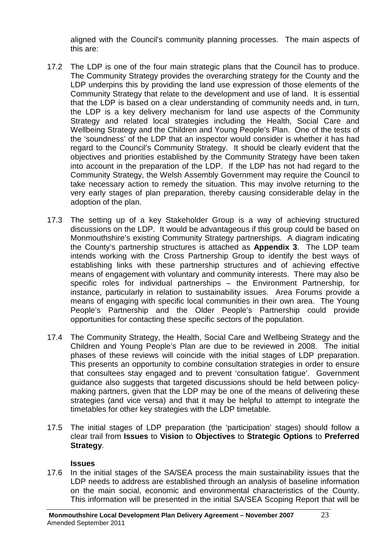aligned with the Council's community planning processes. The main aspects of this are:

- 17.2 The LDP is one of the four main strategic plans that the Council has to produce. The Community Strategy provides the overarching strategy for the County and the LDP underpins this by providing the land use expression of those elements of the Community Strategy that relate to the development and use of land. It is essential that the LDP is based on a clear understanding of community needs and, in turn, the LDP is a key delivery mechanism for land use aspects of the Community Strategy and related local strategies including the Health, Social Care and Wellbeing Strategy and the Children and Young People's Plan. One of the tests of the 'soundness' of the LDP that an inspector would consider is whether it has had regard to the Council's Community Strategy. It should be clearly evident that the objectives and priorities established by the Community Strategy have been taken into account in the preparation of the LDP. If the LDP has not had regard to the Community Strategy, the Welsh Assembly Government may require the Council to take necessary action to remedy the situation. This may involve returning to the very early stages of plan preparation, thereby causing considerable delay in the adoption of the plan.
- 17.3 The setting up of a key Stakeholder Group is a way of achieving structured discussions on the LDP. It would be advantageous if this group could be based on Monmouthshire's existing Community Strategy partnerships. A diagram indicating the County's partnership structures is attached as **Appendix 3**. The LDP team intends working with the Cross Partnership Group to identify the best ways of establishing links with these partnership structures and of achieving effective means of engagement with voluntary and community interests. There may also be specific roles for individual partnerships – the Environment Partnership, for instance, particularly in relation to sustainability issues. Area Forums provide a means of engaging with specific local communities in their own area. The Young People's Partnership and the Older People's Partnership could provide opportunities for contacting these specific sectors of the population.
- 17.4 The Community Strategy, the Health, Social Care and Wellbeing Strategy and the Children and Young People's Plan are due to be reviewed in 2008. The initial phases of these reviews will coincide with the initial stages of LDP preparation. This presents an opportunity to combine consultation strategies in order to ensure that consultees stay engaged and to prevent 'consultation fatigue'. Government guidance also suggests that targeted discussions should be held between policymaking partners, given that the LDP may be one of the means of delivering these strategies (and vice versa) and that it may be helpful to attempt to integrate the timetables for other key strategies with the LDP timetable.
- 17.5 The initial stages of LDP preparation (the 'participation' stages) should follow a clear trail from **Issues** to **Vision** to **Objectives** to **Strategic Options** to **Preferred Strategy**.

#### **Issues**

17.6 In the initial stages of the SA/SEA process the main sustainability issues that the LDP needs to address are established through an analysis of baseline information on the main social, economic and environmental characteristics of the County. This information will be presented in the initial SA/SEA Scoping Report that will be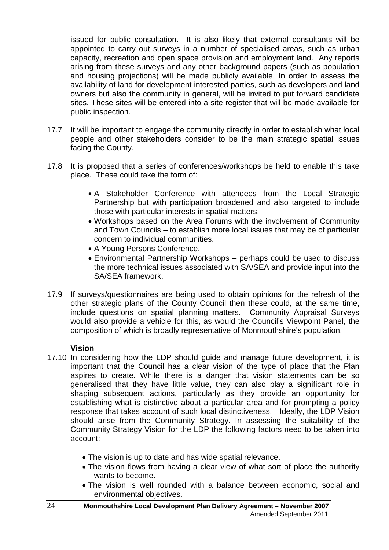issued for public consultation. It is also likely that external consultants will be appointed to carry out surveys in a number of specialised areas, such as urban capacity, recreation and open space provision and employment land. Any reports arising from these surveys and any other background papers (such as population and housing projections) will be made publicly available. In order to assess the availability of land for development interested parties, such as developers and land owners but also the community in general, will be invited to put forward candidate sites. These sites will be entered into a site register that will be made available for public inspection.

- 17.7 It will be important to engage the community directly in order to establish what local people and other stakeholders consider to be the main strategic spatial issues facing the County.
- 17.8 It is proposed that a series of conferences/workshops be held to enable this take place. These could take the form of:
	- A Stakeholder Conference with attendees from the Local Strategic Partnership but with participation broadened and also targeted to include those with particular interests in spatial matters.
	- Workshops based on the Area Forums with the involvement of Community and Town Councils – to establish more local issues that may be of particular concern to individual communities.
	- A Young Persons Conference.
	- Environmental Partnership Workshops perhaps could be used to discuss the more technical issues associated with SA/SEA and provide input into the SA/SEA framework.
- 17.9 If surveys/questionnaires are being used to obtain opinions for the refresh of the other strategic plans of the County Council then these could, at the same time, include questions on spatial planning matters. Community Appraisal Surveys would also provide a vehicle for this, as would the Council's Viewpoint Panel, the composition of which is broadly representative of Monmouthshire's population.

#### **Vision**

- 17.10 In considering how the LDP should guide and manage future development, it is important that the Council has a clear vision of the type of place that the Plan aspires to create. While there is a danger that vision statements can be so generalised that they have little value, they can also play a significant role in shaping subsequent actions, particularly as they provide an opportunity for establishing what is distinctive about a particular area and for prompting a policy response that takes account of such local distinctiveness. Ideally, the LDP Vision should arise from the Community Strategy. In assessing the suitability of the Community Strategy Vision for the LDP the following factors need to be taken into account:
	- The vision is up to date and has wide spatial relevance.
	- The vision flows from having a clear view of what sort of place the authority wants to become.
	- The vision is well rounded with a balance between economic, social and environmental objectives.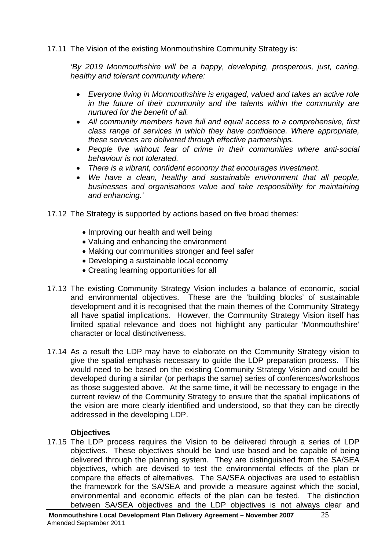17.11 The Vision of the existing Monmouthshire Community Strategy is:

*'By 2019 Monmouthshire will be a happy, developing, prosperous, just, caring, healthy and tolerant community where:*

- *Everyone living in Monmouthshire is engaged, valued and takes an active role in the future of their community and the talents within the community are nurtured for the benefit of all.*
- *All community members have full and equal access to a comprehensive, first class range of services in which they have confidence. Where appropriate, these services are delivered through effective partnerships.*
- *People live without fear of crime in their communities where anti-social behaviour is not tolerated.*
- *There is a vibrant, confident economy that encourages investment.*
- *We have a clean, healthy and sustainable environment that all people, businesses and organisations value and take responsibility for maintaining and enhancing.'*
- 17.12 The Strategy is supported by actions based on five broad themes:
	- Improving our health and well being
	- Valuing and enhancing the environment
	- Making our communities stronger and feel safer
	- Developing a sustainable local economy
	- Creating learning opportunities for all
- 17.13 The existing Community Strategy Vision includes a balance of economic, social and environmental objectives. These are the 'building blocks' of sustainable development and it is recognised that the main themes of the Community Strategy all have spatial implications. However, the Community Strategy Vision itself has limited spatial relevance and does not highlight any particular 'Monmouthshire' character or local distinctiveness.
- 17.14 As a result the LDP may have to elaborate on the Community Strategy vision to give the spatial emphasis necessary to guide the LDP preparation process. This would need to be based on the existing Community Strategy Vision and could be developed during a similar (or perhaps the same) series of conferences/workshops as those suggested above. At the same time, it will be necessary to engage in the current review of the Community Strategy to ensure that the spatial implications of the vision are more clearly identified and understood, so that they can be directly addressed in the developing LDP.

#### **Objectives**

17.15 The LDP process requires the Vision to be delivered through a series of LDP objectives. These objectives should be land use based and be capable of being delivered through the planning system. They are distinguished from the SA/SEA objectives, which are devised to test the environmental effects of the plan or compare the effects of alternatives. The SA/SEA objectives are used to establish the framework for the SA/SEA and provide a measure against which the social, environmental and economic effects of the plan can be tested. The distinction between SA/SEA objectives and the LDP objectives is not always clear and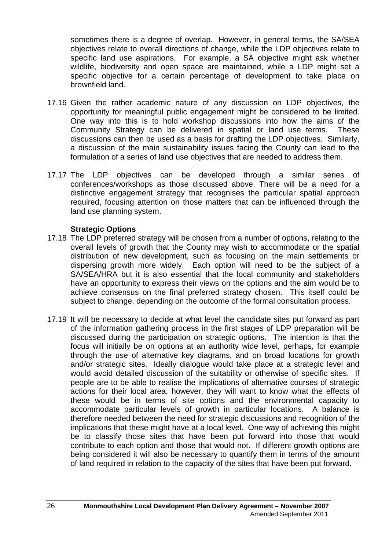sometimes there is a degree of overlap. However, in general terms, the SA/SEA objectives relate to overall directions of change, while the LDP objectives relate to specific land use aspirations. For example, a SA objective might ask whether wildlife, biodiversity and open space are maintained, while a LDP might set a specific objective for a certain percentage of development to take place on brownfield land.

- 17.16 Given the rather academic nature of any discussion on LDP objectives, the opportunity for meaningful public engagement might be considered to be limited. One way into this is to hold workshop discussions into how the aims of the Community Strategy can be delivered in spatial or land use terms. These discussions can then be used as a basis for drafting the LDP objectives. Similarly, a discussion of the main sustainability issues facing the County can lead to the formulation of a series of land use objectives that are needed to address them.
- 17.17 The LDP objectives can be developed through a similar series of conferences/workshops as those discussed above. There will be a need for a distinctive engagement strategy that recognises the particular spatial approach required, focusing attention on those matters that can be influenced through the land use planning system.

#### **Strategic Options**

- 17.18 The LDP preferred strategy will be chosen from a number of options, relating to the overall levels of growth that the County may wish to accommodate or the spatial distribution of new development, such as focusing on the main settlements or dispersing growth more widely. Each option will need to be the subject of a SA/SEA/HRA but it is also essential that the local community and stakeholders have an opportunity to express their views on the options and the aim would be to achieve consensus on the final preferred strategy chosen. This itself could be subject to change, depending on the outcome of the formal consultation process.
- 17.19 It will be necessary to decide at what level the candidate sites put forward as part of the information gathering process in the first stages of LDP preparation will be discussed during the participation on strategic options. The intention is that the focus will initially be on options at an authority wide level, perhaps, for example through the use of alternative key diagrams, and on broad locations for growth and/or strategic sites. Ideally dialogue would take place at a strategic level and would avoid detailed discussion of the suitability or otherwise of specific sites. If people are to be able to realise the implications of alternative courses of strategic actions for their local area, however, they will want to know what the effects of these would be in terms of site options and the environmental capacity to accommodate particular levels of growth in particular locations. A balance is therefore needed between the need for strategic discussions and recognition of the implications that these might have at a local level. One way of achieving this might be to classify those sites that have been put forward into those that would contribute to each option and those that would not. If different growth options are being considered it will also be necessary to quantify them in terms of the amount of land required in relation to the capacity of the sites that have been put forward.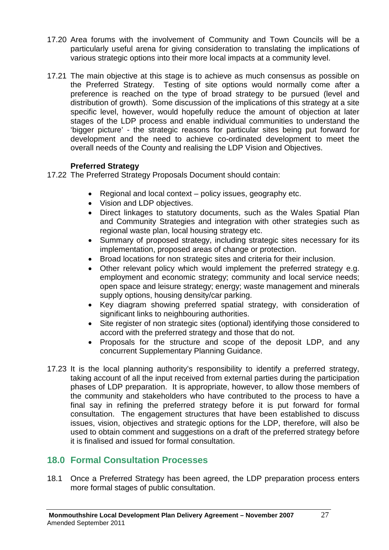- 17.20 Area forums with the involvement of Community and Town Councils will be a particularly useful arena for giving consideration to translating the implications of various strategic options into their more local impacts at a community level.
- 17.21 The main objective at this stage is to achieve as much consensus as possible on the Preferred Strategy. Testing of site options would normally come after a preference is reached on the type of broad strategy to be pursued (level and distribution of growth). Some discussion of the implications of this strategy at a site specific level, however, would hopefully reduce the amount of objection at later stages of the LDP process and enable individual communities to understand the 'bigger picture' - the strategic reasons for particular sites being put forward for development and the need to achieve co-ordinated development to meet the overall needs of the County and realising the LDP Vision and Objectives.

#### **Preferred Strategy**

- 17.22 The Preferred Strategy Proposals Document should contain:
	- Regional and local context policy issues, geography etc.
	- Vision and LDP objectives.
	- Direct linkages to statutory documents, such as the Wales Spatial Plan and Community Strategies and integration with other strategies such as regional waste plan, local housing strategy etc.
	- Summary of proposed strategy, including strategic sites necessary for its implementation, proposed areas of change or protection.
	- Broad locations for non strategic sites and criteria for their inclusion.
	- Other relevant policy which would implement the preferred strategy e.g. employment and economic strategy; community and local service needs; open space and leisure strategy; energy; waste management and minerals supply options, housing density/car parking.
	- Key diagram showing preferred spatial strategy, with consideration of significant links to neighbouring authorities.
	- Site register of non strategic sites (optional) identifying those considered to accord with the preferred strategy and those that do not.
	- Proposals for the structure and scope of the deposit LDP, and any concurrent Supplementary Planning Guidance.
- 17.23 It is the local planning authority's responsibility to identify a preferred strategy, taking account of all the input received from external parties during the participation phases of LDP preparation. It is appropriate, however, to allow those members of the community and stakeholders who have contributed to the process to have a final say in refining the preferred strategy before it is put forward for formal consultation. The engagement structures that have been established to discuss issues, vision, objectives and strategic options for the LDP, therefore, will also be used to obtain comment and suggestions on a draft of the preferred strategy before it is finalised and issued for formal consultation.

## **18.0 Formal Consultation Processes**

18.1 Once a Preferred Strategy has been agreed, the LDP preparation process enters more formal stages of public consultation.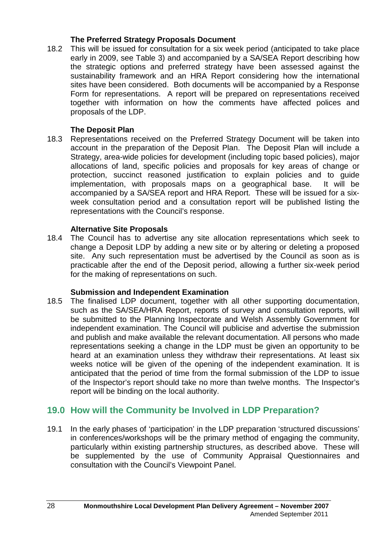#### **The Preferred Strategy Proposals Document**

18.2 This will be issued for consultation for a six week period (anticipated to take place early in 2009, see Table 3) and accompanied by a SA/SEA Report describing how the strategic options and preferred strategy have been assessed against the sustainability framework and an HRA Report considering how the international sites have been considered. Both documents will be accompanied by a Response Form for representations. A report will be prepared on representations received together with information on how the comments have affected polices and proposals of the LDP.

#### **The Deposit Plan**

18.3 Representations received on the Preferred Strategy Document will be taken into account in the preparation of the Deposit Plan. The Deposit Plan will include a Strategy, area-wide policies for development (including topic based policies), major allocations of land, specific policies and proposals for key areas of change or protection, succinct reasoned justification to explain policies and to guide implementation, with proposals maps on a geographical base. It will be accompanied by a SA/SEA report and HRA Report. These will be issued for a sixweek consultation period and a consultation report will be published listing the representations with the Council's response.

#### **Alternative Site Proposals**

18.4 The Council has to advertise any site allocation representations which seek to change a Deposit LDP by adding a new site or by altering or deleting a proposed site. Any such representation must be advertised by the Council as soon as is practicable after the end of the Deposit period, allowing a further six-week period for the making of representations on such.

#### **Submission and Independent Examination**

18.5 The finalised LDP document, together with all other supporting documentation, such as the SA/SEA/HRA Report, reports of survey and consultation reports, will be submitted to the Planning Inspectorate and Welsh Assembly Government for independent examination. The Council will publicise and advertise the submission and publish and make available the relevant documentation. All persons who made representations seeking a change in the LDP must be given an opportunity to be heard at an examination unless they withdraw their representations. At least six weeks notice will be given of the opening of the independent examination. It is anticipated that the period of time from the formal submission of the LDP to issue of the Inspector's report should take no more than twelve months. The Inspector's report will be binding on the local authority.

### **19.0 How will the Community be Involved in LDP Preparation?**

19.1 In the early phases of 'participation' in the LDP preparation 'structured discussions' in conferences/workshops will be the primary method of engaging the community, particularly within existing partnership structures, as described above. These will be supplemented by the use of Community Appraisal Questionnaires and consultation with the Council's Viewpoint Panel.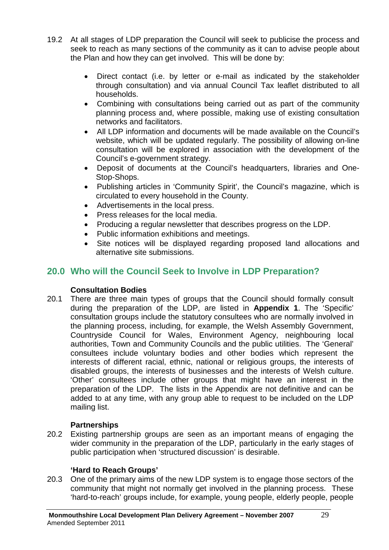- 19.2 At all stages of LDP preparation the Council will seek to publicise the process and seek to reach as many sections of the community as it can to advise people about the Plan and how they can get involved. This will be done by:
	- Direct contact (i.e. by letter or e-mail as indicated by the stakeholder through consultation) and via annual Council Tax leaflet distributed to all households.
	- Combining with consultations being carried out as part of the community planning process and, where possible, making use of existing consultation networks and facilitators.
	- All LDP information and documents will be made available on the Council's website, which will be updated regularly. The possibility of allowing on-line consultation will be explored in association with the development of the Council's e-government strategy.
	- Deposit of documents at the Council's headquarters, libraries and One-Stop-Shops.
	- Publishing articles in 'Community Spirit', the Council's magazine, which is circulated to every household in the County.
	- Advertisements in the local press.
	- Press releases for the local media.
	- Producing a regular newsletter that describes progress on the LDP.
	- Public information exhibitions and meetings.
	- Site notices will be displayed regarding proposed land allocations and alternative site submissions.

## **20.0 Who will the Council Seek to Involve in LDP Preparation?**

#### **Consultation Bodies**

20.1 There are three main types of groups that the Council should formally consult during the preparation of the LDP, are listed in **Appendix 1**. The 'Specific' consultation groups include the statutory consultees who are normally involved in the planning process, including, for example, the Welsh Assembly Government, Countryside Council for Wales, Environment Agency, neighbouring local authorities, Town and Community Councils and the public utilities. The 'General' consultees include voluntary bodies and other bodies which represent the interests of different racial, ethnic, national or religious groups, the interests of disabled groups, the interests of businesses and the interests of Welsh culture. 'Other' consultees include other groups that might have an interest in the preparation of the LDP. The lists in the Appendix are not definitive and can be added to at any time, with any group able to request to be included on the LDP mailing list.

#### **Partnerships**

20.2 Existing partnership groups are seen as an important means of engaging the wider community in the preparation of the LDP, particularly in the early stages of public participation when 'structured discussion' is desirable.

#### **'Hard to Reach Groups'**

20.3 One of the primary aims of the new LDP system is to engage those sectors of the community that might not normally get involved in the planning process. These 'hard-to-reach' groups include, for example, young people, elderly people, people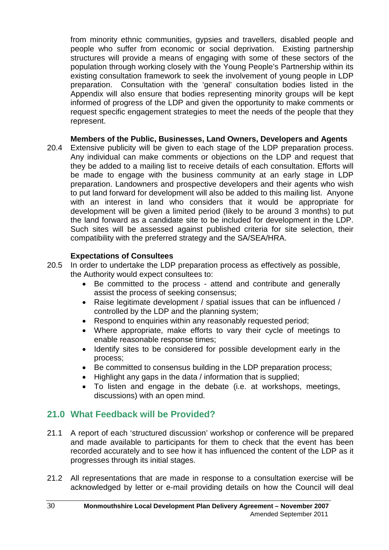from minority ethnic communities, gypsies and travellers, disabled people and people who suffer from economic or social deprivation. Existing partnership structures will provide a means of engaging with some of these sectors of the population through working closely with the Young People's Partnership within its existing consultation framework to seek the involvement of young people in LDP preparation. Consultation with the 'general' consultation bodies listed in the Appendix will also ensure that bodies representing minority groups will be kept informed of progress of the LDP and given the opportunity to make comments or request specific engagement strategies to meet the needs of the people that they represent.

#### **Members of the Public, Businesses, Land Owners, Developers and Agents**

20.4 Extensive publicity will be given to each stage of the LDP preparation process. Any individual can make comments or objections on the LDP and request that they be added to a mailing list to receive details of each consultation. Efforts will be made to engage with the business community at an early stage in LDP preparation. Landowners and prospective developers and their agents who wish to put land forward for development will also be added to this mailing list. Anyone with an interest in land who considers that it would be appropriate for development will be given a limited period (likely to be around 3 months) to put the land forward as a candidate site to be included for development in the LDP. Such sites will be assessed against published criteria for site selection, their compatibility with the preferred strategy and the SA/SEA/HRA.

#### **Expectations of Consultees**

- 20.5 In order to undertake the LDP preparation process as effectively as possible, the Authority would expect consultees to:
	- Be committed to the process attend and contribute and generally assist the process of seeking consensus;
	- Raise legitimate development / spatial issues that can be influenced / controlled by the LDP and the planning system;
	- Respond to enquiries within any reasonably requested period;
	- Where appropriate, make efforts to vary their cycle of meetings to enable reasonable response times;
	- Identify sites to be considered for possible development early in the process;
	- Be committed to consensus building in the LDP preparation process;
	- Highlight any gaps in the data / information that is supplied;
	- To listen and engage in the debate (i.e. at workshops, meetings, discussions) with an open mind.

### **21.0 What Feedback will be Provided?**

- 21.1 A report of each 'structured discussion' workshop or conference will be prepared and made available to participants for them to check that the event has been recorded accurately and to see how it has influenced the content of the LDP as it progresses through its initial stages.
- 21.2 All representations that are made in response to a consultation exercise will be acknowledged by letter or e-mail providing details on how the Council will deal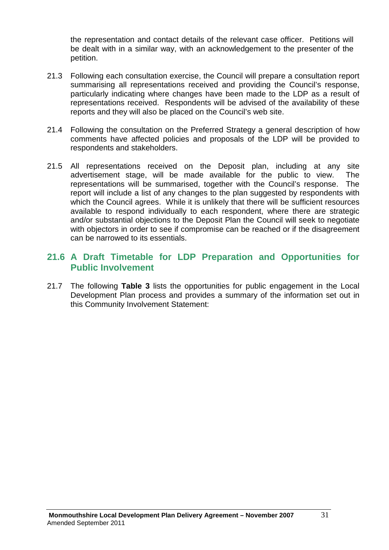the representation and contact details of the relevant case officer. Petitions will be dealt with in a similar way, with an acknowledgement to the presenter of the petition.

- 21.3 Following each consultation exercise, the Council will prepare a consultation report summarising all representations received and providing the Council's response, particularly indicating where changes have been made to the LDP as a result of representations received. Respondents will be advised of the availability of these reports and they will also be placed on the Council's web site.
- 21.4 Following the consultation on the Preferred Strategy a general description of how comments have affected policies and proposals of the LDP will be provided to respondents and stakeholders.
- 21.5 All representations received on the Deposit plan, including at any site advertisement stage, will be made available for the public to view. The representations will be summarised, together with the Council's response. The report will include a list of any changes to the plan suggested by respondents with which the Council agrees. While it is unlikely that there will be sufficient resources available to respond individually to each respondent, where there are strategic and/or substantial objections to the Deposit Plan the Council will seek to negotiate with objectors in order to see if compromise can be reached or if the disagreement can be narrowed to its essentials.

## **21.6 A Draft Timetable for LDP Preparation and Opportunities for Public Involvement**

21.7 The following **Table 3** lists the opportunities for public engagement in the Local Development Plan process and provides a summary of the information set out in this Community Involvement Statement: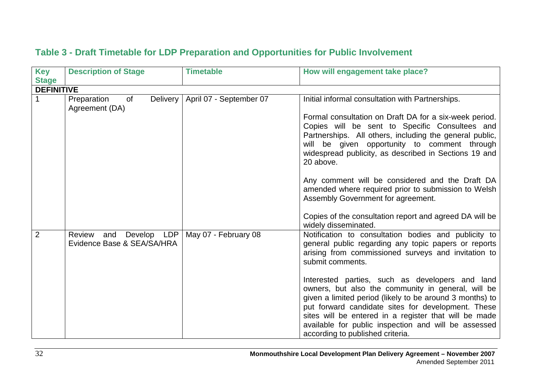| <b>Key</b><br><b>Stage</b> | <b>Description of Stage</b>                             | <b>Timetable</b>                   | How will engagement take place?                                                                                                                                                                                                                                                                                                                                                                                                                         |
|----------------------------|---------------------------------------------------------|------------------------------------|---------------------------------------------------------------------------------------------------------------------------------------------------------------------------------------------------------------------------------------------------------------------------------------------------------------------------------------------------------------------------------------------------------------------------------------------------------|
| <b>DEFINITIVE</b>          |                                                         |                                    |                                                                                                                                                                                                                                                                                                                                                                                                                                                         |
|                            | Preparation<br>of<br>Agreement (DA)                     | Delivery   April 07 - September 07 | Initial informal consultation with Partnerships.<br>Formal consultation on Draft DA for a six-week period.<br>Copies will be sent to Specific Consultees and<br>Partnerships. All others, including the general public,<br>will be given opportunity to comment through<br>widespread publicity, as described in Sections 19 and<br>20 above.<br>Any comment will be considered and the Draft DA<br>amended where required prior to submission to Welsh |
|                            |                                                         |                                    | Assembly Government for agreement.<br>Copies of the consultation report and agreed DA will be<br>widely disseminated.                                                                                                                                                                                                                                                                                                                                   |
| $\overline{2}$             | Review<br>and Develop LDP<br>Evidence Base & SEA/SA/HRA | May 07 - February 08               | Notification to consultation bodies and publicity to<br>general public regarding any topic papers or reports<br>arising from commissioned surveys and invitation to<br>submit comments.<br>Interested parties, such as developers and land<br>owners, but also the community in general, will be<br>given a limited period (likely to be around 3 months) to                                                                                            |
|                            |                                                         |                                    | put forward candidate sites for development. These<br>sites will be entered in a register that will be made<br>available for public inspection and will be assessed<br>according to published criteria.                                                                                                                                                                                                                                                 |

## **Table 3 - Draft Timetable for LDP Preparation and Opportunities for Public Involvement**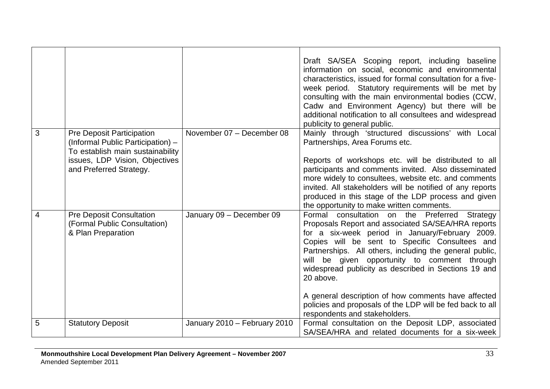|   |                                                                                                                                                                        |                              | Draft SA/SEA Scoping report, including baseline<br>information on social, economic and environmental<br>characteristics, issued for formal consultation for a five-<br>week period. Statutory requirements will be met by<br>consulting with the main environmental bodies (CCW,<br>Cadw and Environment Agency) but there will be<br>additional notification to all consultees and widespread<br>publicity to general public.                                                                                                                |
|---|------------------------------------------------------------------------------------------------------------------------------------------------------------------------|------------------------------|-----------------------------------------------------------------------------------------------------------------------------------------------------------------------------------------------------------------------------------------------------------------------------------------------------------------------------------------------------------------------------------------------------------------------------------------------------------------------------------------------------------------------------------------------|
| 3 | <b>Pre Deposit Participation</b><br>(Informal Public Participation) -<br>To establish main sustainability<br>issues, LDP Vision, Objectives<br>and Preferred Strategy. | November 07 - December 08    | Mainly through 'structured discussions' with Local<br>Partnerships, Area Forums etc.<br>Reports of workshops etc. will be distributed to all<br>participants and comments invited. Also disseminated<br>more widely to consultees, website etc. and comments<br>invited. All stakeholders will be notified of any reports<br>produced in this stage of the LDP process and given<br>the opportunity to make written comments.                                                                                                                 |
| 4 | <b>Pre Deposit Consultation</b><br>(Formal Public Consultation)<br>& Plan Preparation                                                                                  | January 09 - December 09     | Formal consultation on the Preferred Strategy<br>Proposals Report and associated SA/SEA/HRA reports<br>for a six-week period in January/February 2009.<br>Copies will be sent to Specific Consultees and<br>Partnerships. All others, including the general public,<br>will be given opportunity to comment through<br>widespread publicity as described in Sections 19 and<br>20 above.<br>A general description of how comments have affected<br>policies and proposals of the LDP will be fed back to all<br>respondents and stakeholders. |
| 5 | <b>Statutory Deposit</b>                                                                                                                                               | January 2010 - February 2010 | Formal consultation on the Deposit LDP, associated<br>SA/SEA/HRA and related documents for a six-week                                                                                                                                                                                                                                                                                                                                                                                                                                         |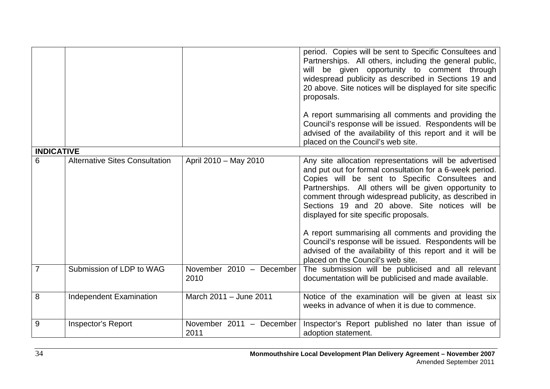|                   |                                       |                                  | period. Copies will be sent to Specific Consultees and<br>Partnerships. All others, including the general public,<br>will be given opportunity to comment through<br>widespread publicity as described in Sections 19 and<br>20 above. Site notices will be displayed for site specific<br>proposals.<br>A report summarising all comments and providing the<br>Council's response will be issued. Respondents will be<br>advised of the availability of this report and it will be<br>placed on the Council's web site.                                                                              |
|-------------------|---------------------------------------|----------------------------------|-------------------------------------------------------------------------------------------------------------------------------------------------------------------------------------------------------------------------------------------------------------------------------------------------------------------------------------------------------------------------------------------------------------------------------------------------------------------------------------------------------------------------------------------------------------------------------------------------------|
| <b>INDICATIVE</b> |                                       |                                  |                                                                                                                                                                                                                                                                                                                                                                                                                                                                                                                                                                                                       |
| 6                 | <b>Alternative Sites Consultation</b> | April 2010 - May 2010            | Any site allocation representations will be advertised<br>and put out for formal consultation for a 6-week period.<br>Copies will be sent to Specific Consultees and<br>Partnerships. All others will be given opportunity to<br>comment through widespread publicity, as described in<br>Sections 19 and 20 above. Site notices will be<br>displayed for site specific proposals.<br>A report summarising all comments and providing the<br>Council's response will be issued. Respondents will be<br>advised of the availability of this report and it will be<br>placed on the Council's web site. |
| 7                 | Submission of LDP to WAG              | November 2010 - December<br>2010 | The submission will be publicised and all relevant<br>documentation will be publicised and made available.                                                                                                                                                                                                                                                                                                                                                                                                                                                                                            |
| 8                 | <b>Independent Examination</b>        | March 2011 - June 2011           | Notice of the examination will be given at least six<br>weeks in advance of when it is due to commence.                                                                                                                                                                                                                                                                                                                                                                                                                                                                                               |
| 9                 | <b>Inspector's Report</b>             | November 2011 - December<br>2011 | Inspector's Report published no later than issue of<br>adoption statement.                                                                                                                                                                                                                                                                                                                                                                                                                                                                                                                            |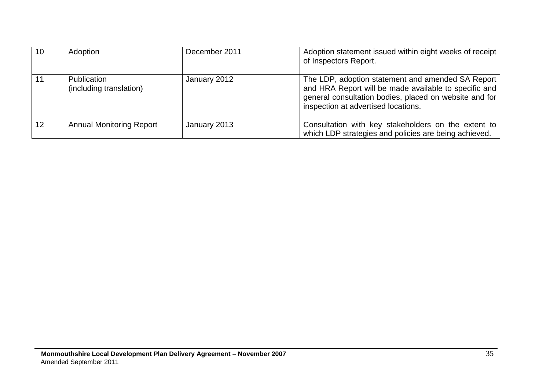| 10 | Adoption                                      | December 2011 | Adoption statement issued within eight weeks of receipt<br>of Inspectors Report.                                                                                                                              |
|----|-----------------------------------------------|---------------|---------------------------------------------------------------------------------------------------------------------------------------------------------------------------------------------------------------|
| 11 | <b>Publication</b><br>(including translation) | January 2012  | The LDP, adoption statement and amended SA Report  <br>and HRA Report will be made available to specific and<br>general consultation bodies, placed on website and for<br>inspection at advertised locations. |
| 12 | <b>Annual Monitoring Report</b>               | January 2013  | Consultation with key stakeholders on the extent to<br>which LDP strategies and policies are being achieved.                                                                                                  |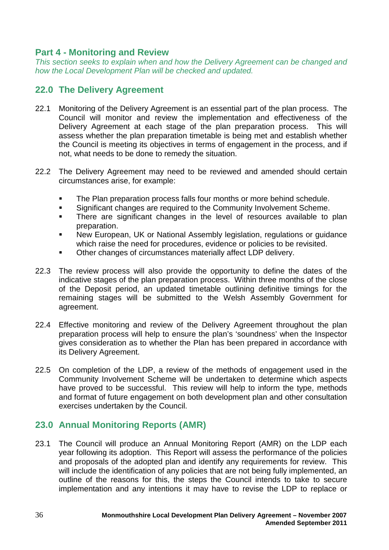### **Part 4 - Monitoring and Review**

*This section seeks to explain when and how the Delivery Agreement can be changed and how the Local Development Plan will be checked and updated.*

## **22.0 The Delivery Agreement**

- 22.1 Monitoring of the Delivery Agreement is an essential part of the plan process. The Council will monitor and review the implementation and effectiveness of the Delivery Agreement at each stage of the plan preparation process. This will assess whether the plan preparation timetable is being met and establish whether the Council is meeting its objectives in terms of engagement in the process, and if not, what needs to be done to remedy the situation.
- 22.2 The Delivery Agreement may need to be reviewed and amended should certain circumstances arise, for example:
	- The Plan preparation process falls four months or more behind schedule.
	- **Significant changes are required to the Community Involvement Scheme.**
	- There are significant changes in the level of resources available to plan preparation.
	- New European, UK or National Assembly legislation, regulations or guidance which raise the need for procedures, evidence or policies to be revisited.
	- Other changes of circumstances materially affect LDP delivery.
- 22.3 The review process will also provide the opportunity to define the dates of the indicative stages of the plan preparation process. Within three months of the close of the Deposit period, an updated timetable outlining definitive timings for the remaining stages will be submitted to the Welsh Assembly Government for agreement.
- 22.4 Effective monitoring and review of the Delivery Agreement throughout the plan preparation process will help to ensure the plan's 'soundness' when the Inspector gives consideration as to whether the Plan has been prepared in accordance with its Delivery Agreement.
- 22.5 On completion of the LDP, a review of the methods of engagement used in the Community Involvement Scheme will be undertaken to determine which aspects have proved to be successful. This review will help to inform the type, methods and format of future engagement on both development plan and other consultation exercises undertaken by the Council.

## **23.0 Annual Monitoring Reports (AMR)**

23.1 The Council will produce an Annual Monitoring Report (AMR) on the LDP each year following its adoption. This Report will assess the performance of the policies and proposals of the adopted plan and identify any requirements for review. This will include the identification of any policies that are not being fully implemented, an outline of the reasons for this, the steps the Council intends to take to secure implementation and any intentions it may have to revise the LDP to replace or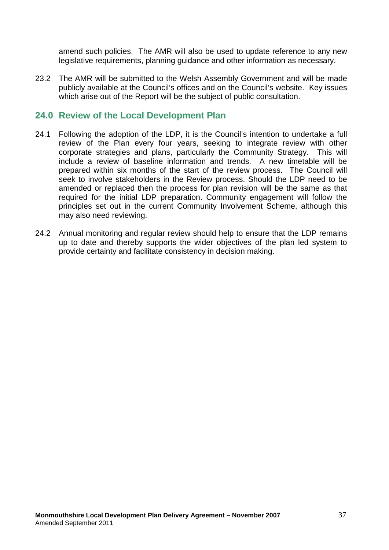amend such policies. The AMR will also be used to update reference to any new legislative requirements, planning guidance and other information as necessary.

23.2 The AMR will be submitted to the Welsh Assembly Government and will be made publicly available at the Council's offices and on the Council's website. Key issues which arise out of the Report will be the subject of public consultation.

#### **24.0 Review of the Local Development Plan**

- 24.1 Following the adoption of the LDP, it is the Council's intention to undertake a full review of the Plan every four years, seeking to integrate review with other corporate strategies and plans, particularly the Community Strategy. This will include a review of baseline information and trends. A new timetable will be prepared within six months of the start of the review process. The Council will seek to involve stakeholders in the Review process. Should the LDP need to be amended or replaced then the process for plan revision will be the same as that required for the initial LDP preparation. Community engagement will follow the principles set out in the current Community Involvement Scheme, although this may also need reviewing.
- 24.2 Annual monitoring and regular review should help to ensure that the LDP remains up to date and thereby supports the wider objectives of the plan led system to provide certainty and facilitate consistency in decision making.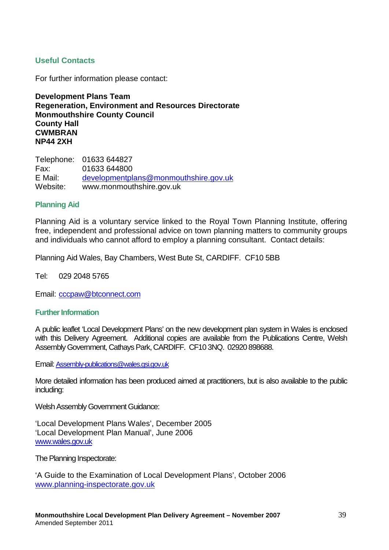#### **Useful Contacts**

For further information please contact:

**Development Plans Team Regeneration, Environment and Resources Directorate Monmouthshire County Council County Hall CWMBRAN NP44 2XH**

Telephone: 01633 644827 Fax: 01633 644800<br>F Mail: developmentpl developmen[tplans@monmouthshire.gov.uk](mailto:plans@monmouthshire.gov.uk) Website: www.monmouthshire.gov.uk

#### **Planning Aid**

Planning Aid is a voluntary service linked to the Royal Town Planning Institute, offering free, independent and professional advice on town planning matters to community groups and individuals who cannot afford to employ a planning consultant. Contact details:

Planning Aid Wales, Bay Chambers, West Bute St, CARDIFF. CF10 5BB

Tel: 029 2048 5765

Email: [cccpaw@btconnect.com](mailto:cccpaw@btconnect.com)

#### **Further Information**

A public leaflet 'Local Development Plans' on the new development plan system in Wales is enclosed with this Delivery Agreement. Additional copies are available from the Publications Centre, Welsh Assembly Government, Cathays Park, CARDIFF. CF10 3NQ. 02920 898688.

Email[: Assembly-publications@wales.gsi.gov.uk](mailto:Assembly-publications@wales.gsi.gov.uk)

More detailed information has been produced aimed at practitioners, but is also available to the public including:

Welsh Assembly Government Guidance:

'Local Development Plans Wales', December 2005 'Local Development Plan Manual', June 2006 www.wales.gov.uk

The Planning Inspectorate:

'A Guide to the Examination of Local Development Plans', October 2006 [www.planning-inspectorate.gov.uk](http://www.planning-inspectorate.gov.uk/)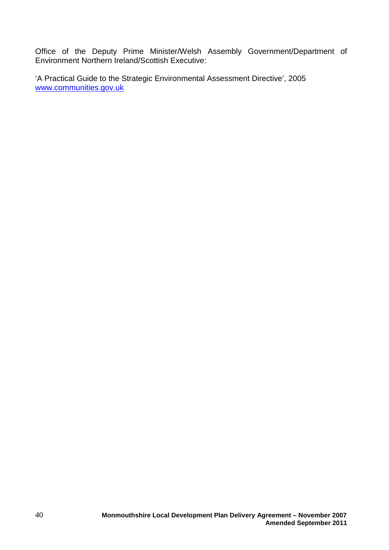Office of the Deputy Prime Minister/Welsh Assembly Government/Department of Environment Northern Ireland/Scottish Executive:

'A Practical Guide to the Strategic Environmental Assessment Directive', 2005 [www.communities.gov.uk](http://www.communities.gov.uk/)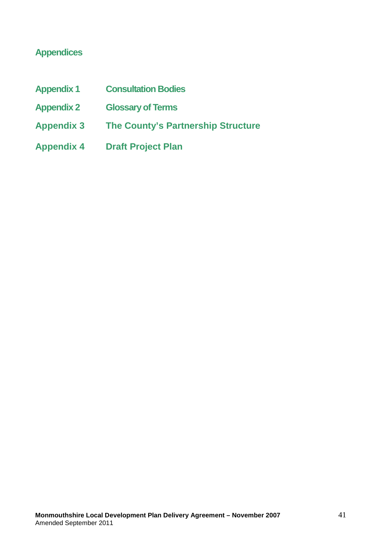## **Appendices**

| <b>Appendix 1</b> | <b>Consultation Bodies</b>         |
|-------------------|------------------------------------|
| <b>Appendix 2</b> | <b>Glossary of Terms</b>           |
| <b>Appendix 3</b> | The County's Partnership Structure |
| <b>Appendix 4</b> | <b>Draft Project Plan</b>          |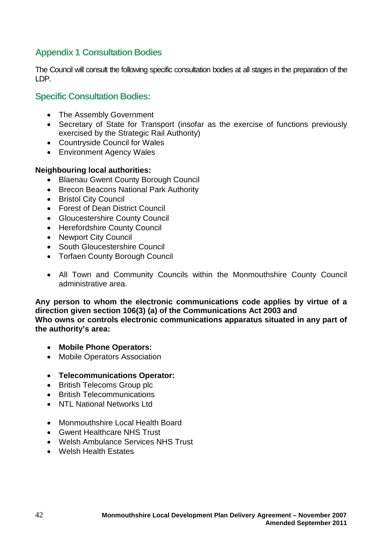## **Appendix 1 Consultation Bodies**

The Council will consult the following specific consultation bodies at all stages in the preparation of the LDP.

#### **Specific Consultation Bodies:**

- The Assembly Government
- Secretary of State for Transport (insofar as the exercise of functions previously exercised by the Strategic Rail Authority)
- Countryside Council for Wales
- Environment Agency Wales

#### **Neighbouring local authorities:**

- Blaenau Gwent County Borough Council
- Brecon Beacons National Park Authority
- Bristol City Council
- Forest of Dean District Council
- Gloucestershire County Council
- Herefordshire County Council
- Newport City Council
- South Gloucestershire Council
- Torfaen County Borough Council
- All Town and Community Councils within the Monmouthshire County Council administrative area.

**Any person to whom the electronic communications code applies by virtue of a direction given section 106(3) (a) of the Communications Act 2003 and Who owns or controls electronic communications apparatus situated in any part of the authority's area:**

- **Mobile Phone Operators:**
- Mobile Operators Association
- **Telecommunications Operator:**
- British Telecoms Group plc
- British Telecommunications
- NTL National Networks Ltd
- Monmouthshire Local Health Board
- Gwent Healthcare NHS Trust
- Welsh Ambulance Services NHS Trust
- Welsh Health Estates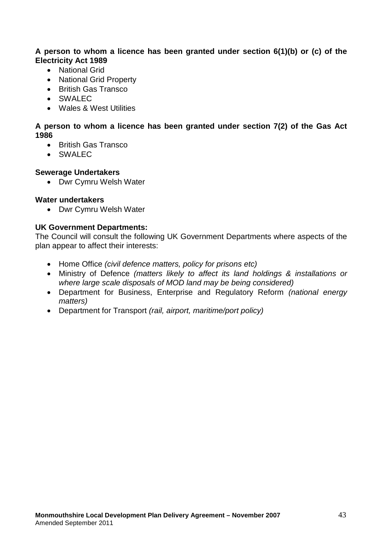#### **A person to whom a licence has been granted under section 6(1)(b) or (c) of the Electricity Act 1989**

- National Grid
- National Grid Property
- British Gas Transco
- SWALEC
- Wales & West Utilities

#### **A person to whom a licence has been granted under section 7(2) of the Gas Act 1986**

- British Gas Transco
- SWALEC

#### **Sewerage Undertakers**

• Dwr Cymru Welsh Water

#### **Water undertakers**

• Dwr Cymru Welsh Water

#### **UK Government Departments:**

The Council will consult the following UK Government Departments where aspects of the plan appear to affect their interests:

- Home Office *(civil defence matters, policy for prisons etc)*
- Ministry of Defence *(matters likely to affect its land holdings & installations or where large scale disposals of MOD land may be being considered)*
- Department for Business, Enterprise and Regulatory Reform *(national energy matters)*
- Department for Transport *(rail, airport, maritime/port policy)*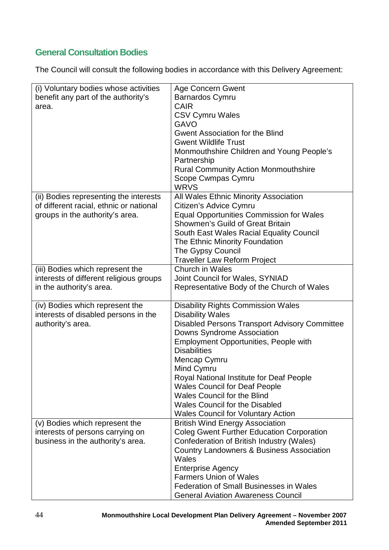## **General Consultation Bodies**

The Council will consult the following bodies in accordance with this Delivery Agreement:

| (i) Voluntary bodies whose activities   | <b>Age Concern Gwent</b>                                          |
|-----------------------------------------|-------------------------------------------------------------------|
| benefit any part of the authority's     | <b>Barnardos Cymru</b>                                            |
| area.                                   | <b>CAIR</b>                                                       |
|                                         | <b>CSV Cymru Wales</b>                                            |
|                                         | <b>GAVO</b>                                                       |
|                                         | <b>Gwent Association for the Blind</b>                            |
|                                         | <b>Gwent Wildlife Trust</b>                                       |
|                                         | Monmouthshire Children and Young People's                         |
|                                         | Partnership                                                       |
|                                         | <b>Rural Community Action Monmouthshire</b><br>Scope Cwmpas Cymru |
|                                         | <b>WRVS</b>                                                       |
| (ii) Bodies representing the interests  | All Wales Ethnic Minority Association                             |
| of different racial, ethnic or national | Citizen's Advice Cymru                                            |
| groups in the authority's area.         | <b>Equal Opportunities Commission for Wales</b>                   |
|                                         | Showmen's Guild of Great Britain                                  |
|                                         | South East Wales Racial Equality Council                          |
|                                         | The Ethnic Minority Foundation                                    |
|                                         | The Gypsy Council                                                 |
|                                         | <b>Traveller Law Reform Project</b>                               |
| (iii) Bodies which represent the        | Church in Wales                                                   |
| interests of different religious groups | Joint Council for Wales, SYNIAD                                   |
| in the authority's area.                | Representative Body of the Church of Wales                        |
| (iv) Bodies which represent the         | <b>Disability Rights Commission Wales</b>                         |
| interests of disabled persons in the    | <b>Disability Wales</b>                                           |
| authority's area.                       | <b>Disabled Persons Transport Advisory Committee</b>              |
|                                         | Downs Syndrome Association                                        |
|                                         | <b>Employment Opportunities, People with</b>                      |
|                                         | <b>Disabilities</b>                                               |
|                                         | Mencap Cymru                                                      |
|                                         | Mind Cymru                                                        |
|                                         | Royal National Institute for Deaf People                          |
|                                         | <b>Wales Council for Deaf People</b>                              |
|                                         | <b>Wales Council for the Blind</b>                                |
|                                         | <b>Wales Council for the Disabled</b>                             |
|                                         | <b>Wales Council for Voluntary Action</b>                         |
| (v) Bodies which represent the          | <b>British Wind Energy Association</b>                            |
| interests of persons carrying on        | <b>Coleg Gwent Further Education Corporation</b>                  |
| business in the authority's area.       | Confederation of British Industry (Wales)                         |
|                                         | <b>Country Landowners &amp; Business Association</b>              |
|                                         | Wales                                                             |
|                                         | <b>Enterprise Agency</b><br><b>Farmers Union of Wales</b>         |
|                                         | <b>Federation of Small Businesses in Wales</b>                    |
|                                         |                                                                   |
|                                         | <b>General Aviation Awareness Council</b>                         |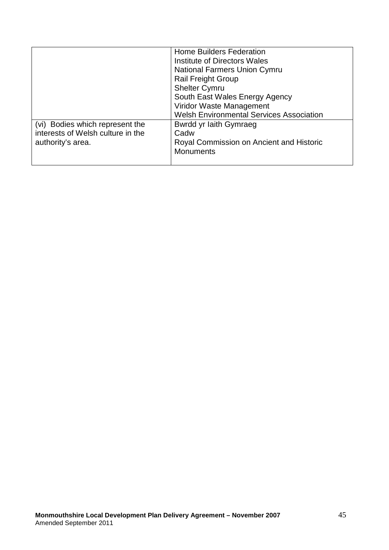|                                                                                           | <b>Home Builders Federation</b><br>Institute of Directors Wales<br><b>National Farmers Union Cymru</b><br><b>Rail Freight Group</b><br><b>Shelter Cymru</b><br>South East Wales Energy Agency<br>Viridor Waste Management<br><b>Welsh Environmental Services Association</b> |
|-------------------------------------------------------------------------------------------|------------------------------------------------------------------------------------------------------------------------------------------------------------------------------------------------------------------------------------------------------------------------------|
| (vi) Bodies which represent the<br>interests of Welsh culture in the<br>authority's area. | Bwrdd yr Iaith Gymraeg<br>Cadw<br>Royal Commission on Ancient and Historic<br><b>Monuments</b>                                                                                                                                                                               |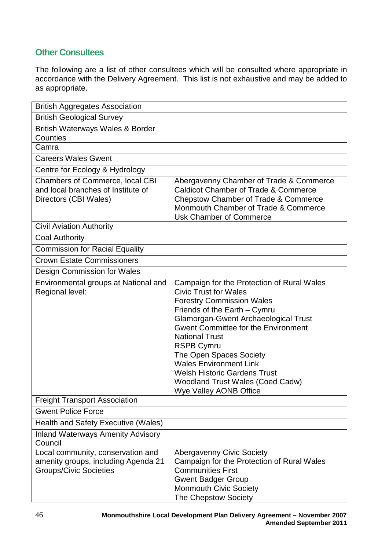## **Other Consultees**

The following are a list of other consultees which will be consulted where appropriate in accordance with the Delivery Agreement. This list is not exhaustive and may be added to as appropriate.

| <b>British Aggregates Association</b>                                                                     |                                                                                                                                                                                                                                                                                                                                                                                                                                                                   |
|-----------------------------------------------------------------------------------------------------------|-------------------------------------------------------------------------------------------------------------------------------------------------------------------------------------------------------------------------------------------------------------------------------------------------------------------------------------------------------------------------------------------------------------------------------------------------------------------|
| <b>British Geological Survey</b>                                                                          |                                                                                                                                                                                                                                                                                                                                                                                                                                                                   |
| <b>British Waterways Wales &amp; Border</b><br><b>Counties</b>                                            |                                                                                                                                                                                                                                                                                                                                                                                                                                                                   |
| Camra                                                                                                     |                                                                                                                                                                                                                                                                                                                                                                                                                                                                   |
| <b>Careers Wales Gwent</b>                                                                                |                                                                                                                                                                                                                                                                                                                                                                                                                                                                   |
| Centre for Ecology & Hydrology                                                                            |                                                                                                                                                                                                                                                                                                                                                                                                                                                                   |
| <b>Chambers of Commerce, local CBI</b><br>and local branches of Institute of<br>Directors (CBI Wales)     | Abergavenny Chamber of Trade & Commerce<br><b>Caldicot Chamber of Trade &amp; Commerce</b><br><b>Chepstow Chamber of Trade &amp; Commerce</b><br>Monmouth Chamber of Trade & Commerce<br><b>Usk Chamber of Commerce</b>                                                                                                                                                                                                                                           |
| <b>Civil Aviation Authority</b>                                                                           |                                                                                                                                                                                                                                                                                                                                                                                                                                                                   |
| <b>Coal Authority</b>                                                                                     |                                                                                                                                                                                                                                                                                                                                                                                                                                                                   |
| <b>Commission for Racial Equality</b>                                                                     |                                                                                                                                                                                                                                                                                                                                                                                                                                                                   |
| <b>Crown Estate Commissioners</b>                                                                         |                                                                                                                                                                                                                                                                                                                                                                                                                                                                   |
| Design Commission for Wales                                                                               |                                                                                                                                                                                                                                                                                                                                                                                                                                                                   |
| Environmental groups at National and<br>Regional level:                                                   | Campaign for the Protection of Rural Wales<br><b>Civic Trust for Wales</b><br><b>Forestry Commission Wales</b><br>Friends of the Earth - Cymru<br><b>Glamorgan-Gwent Archaeological Trust</b><br><b>Gwent Committee for the Environment</b><br><b>National Trust</b><br><b>RSPB Cymru</b><br>The Open Spaces Society<br><b>Wales Environment Link</b><br><b>Welsh Historic Gardens Trust</b><br><b>Woodland Trust Wales (Coed Cadw)</b><br>Wye Valley AONB Office |
| <b>Freight Transport Association</b>                                                                      |                                                                                                                                                                                                                                                                                                                                                                                                                                                                   |
| <b>Gwent Police Force</b>                                                                                 |                                                                                                                                                                                                                                                                                                                                                                                                                                                                   |
| Health and Safety Executive (Wales)                                                                       |                                                                                                                                                                                                                                                                                                                                                                                                                                                                   |
| <b>Inland Waterways Amenity Advisory</b><br>Council                                                       |                                                                                                                                                                                                                                                                                                                                                                                                                                                                   |
| Local community, conservation and<br>amenity groups, including Agenda 21<br><b>Groups/Civic Societies</b> | <b>Abergavenny Civic Society</b><br>Campaign for the Protection of Rural Wales<br><b>Communities First</b><br><b>Gwent Badger Group</b><br><b>Monmouth Civic Society</b><br>The Chepstow Society                                                                                                                                                                                                                                                                  |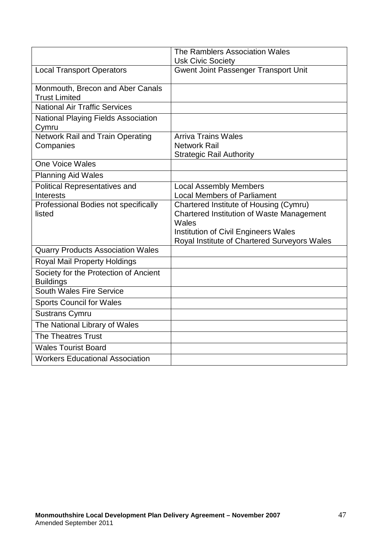|                                                           | The Ramblers Association Wales               |
|-----------------------------------------------------------|----------------------------------------------|
|                                                           | <b>Usk Civic Society</b>                     |
| <b>Local Transport Operators</b>                          | <b>Gwent Joint Passenger Transport Unit</b>  |
| Monmouth, Brecon and Aber Canals<br><b>Trust Limited</b>  |                                              |
| <b>National Air Traffic Services</b>                      |                                              |
| <b>National Playing Fields Association</b><br>Cymru       |                                              |
| <b>Network Rail and Train Operating</b>                   | <b>Arriva Trains Wales</b>                   |
| Companies                                                 | <b>Network Rail</b>                          |
|                                                           | <b>Strategic Rail Authority</b>              |
| <b>One Voice Wales</b>                                    |                                              |
| <b>Planning Aid Wales</b>                                 |                                              |
| Political Representatives and                             | <b>Local Assembly Members</b>                |
| <b>Interests</b>                                          | <b>Local Members of Parliament</b>           |
| Professional Bodies not specifically                      | Chartered Institute of Housing (Cymru)       |
| listed                                                    | Chartered Institution of Waste Management    |
|                                                           | Wales                                        |
|                                                           | <b>Institution of Civil Engineers Wales</b>  |
|                                                           | Royal Institute of Chartered Surveyors Wales |
| <b>Quarry Products Association Wales</b>                  |                                              |
| Royal Mail Property Holdings                              |                                              |
| Society for the Protection of Ancient<br><b>Buildings</b> |                                              |
| South Wales Fire Service                                  |                                              |
| <b>Sports Council for Wales</b>                           |                                              |
| <b>Sustrans Cymru</b>                                     |                                              |
| The National Library of Wales                             |                                              |
| The Theatres Trust                                        |                                              |
| <b>Wales Tourist Board</b>                                |                                              |
| <b>Workers Educational Association</b>                    |                                              |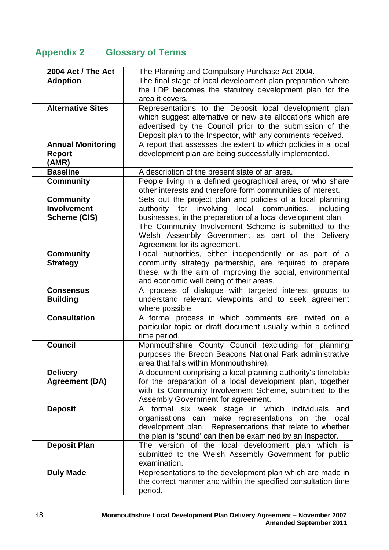## **Appendix 2 Glossary of Terms**

| 2004 Act / The Act       | The Planning and Compulsory Purchase Act 2004.                                                                     |
|--------------------------|--------------------------------------------------------------------------------------------------------------------|
| <b>Adoption</b>          | The final stage of local development plan preparation where                                                        |
|                          | the LDP becomes the statutory development plan for the                                                             |
|                          | area it covers.                                                                                                    |
| <b>Alternative Sites</b> | Representations to the Deposit local development plan                                                              |
|                          | which suggest alternative or new site allocations which are                                                        |
|                          | advertised by the Council prior to the submission of the                                                           |
|                          | Deposit plan to the Inspector, with any comments received.                                                         |
| <b>Annual Monitoring</b> | A report that assesses the extent to which policies in a local                                                     |
| <b>Report</b>            | development plan are being successfully implemented.                                                               |
| (AMR)                    |                                                                                                                    |
| <b>Baseline</b>          | A description of the present state of an area.                                                                     |
| <b>Community</b>         | People living in a defined geographical area, or who share                                                         |
|                          | other interests and therefore form communities of interest.                                                        |
| <b>Community</b>         | Sets out the project plan and policies of a local planning                                                         |
| <b>Involvement</b>       | for<br>involving<br>local<br>communities,<br>authority<br>including                                                |
| <b>Scheme (CIS)</b>      | businesses, in the preparation of a local development plan.                                                        |
|                          | The Community Involvement Scheme is submitted to the                                                               |
|                          | Welsh Assembly Government as part of the Delivery                                                                  |
|                          | Agreement for its agreement.                                                                                       |
| <b>Community</b>         | Local authorities, either independently or as part of a                                                            |
| <b>Strategy</b>          | community strategy partnership, are required to prepare                                                            |
|                          | these, with the aim of improving the social, environmental                                                         |
|                          | and economic well being of their areas.                                                                            |
| <b>Consensus</b>         | A process of dialogue with targeted interest groups to                                                             |
| <b>Building</b>          | understand relevant viewpoints and to seek agreement                                                               |
|                          | where possible.                                                                                                    |
| <b>Consultation</b>      | A formal process in which comments are invited on a<br>particular topic or draft document usually within a defined |
|                          | time period.                                                                                                       |
| <b>Council</b>           | Monmouthshire County Council (excluding for planning                                                               |
|                          | purposes the Brecon Beacons National Park administrative                                                           |
|                          | area that falls within Monmouthshire).                                                                             |
| <b>Delivery</b>          | A document comprising a local planning authority's timetable                                                       |
| <b>Agreement (DA)</b>    | for the preparation of a local development plan, together                                                          |
|                          | with its Community Involvement Scheme, submitted to the                                                            |
|                          | Assembly Government for agreement.                                                                                 |
| <b>Deposit</b>           | A formal six week stage in which individuals<br>and                                                                |
|                          | organisations can make representations on the local                                                                |
|                          | development plan. Representations that relate to whether                                                           |
|                          | the plan is 'sound' can then be examined by an Inspector.                                                          |
| <b>Deposit Plan</b>      | The version of the local development plan which is                                                                 |
|                          | submitted to the Welsh Assembly Government for public                                                              |
|                          | examination.                                                                                                       |
| <b>Duly Made</b>         | Representations to the development plan which are made in                                                          |
|                          | the correct manner and within the specified consultation time                                                      |
|                          | period.                                                                                                            |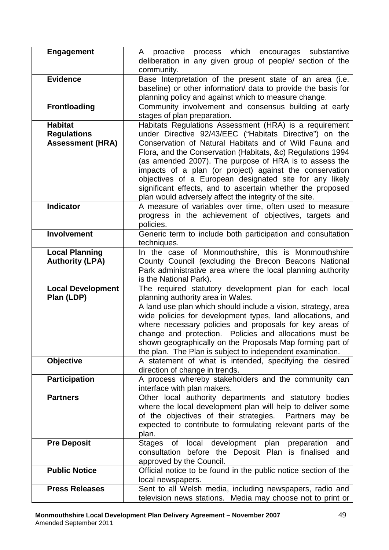| <b>Engagement</b>                                               | A proactive process which encourages substantive<br>deliberation in any given group of people/ section of the                                                                                                                                                                                                                                                                                                                                                                                                                                      |
|-----------------------------------------------------------------|----------------------------------------------------------------------------------------------------------------------------------------------------------------------------------------------------------------------------------------------------------------------------------------------------------------------------------------------------------------------------------------------------------------------------------------------------------------------------------------------------------------------------------------------------|
|                                                                 | community.                                                                                                                                                                                                                                                                                                                                                                                                                                                                                                                                         |
| <b>Evidence</b>                                                 | Base Interpretation of the present state of an area (i.e.<br>baseline) or other information/ data to provide the basis for<br>planning policy and against which to measure change.                                                                                                                                                                                                                                                                                                                                                                 |
| <b>Frontloading</b>                                             | Community involvement and consensus building at early<br>stages of plan preparation.                                                                                                                                                                                                                                                                                                                                                                                                                                                               |
| <b>Habitat</b><br><b>Regulations</b><br><b>Assessment (HRA)</b> | Habitats Regulations Assessment (HRA) is a requirement<br>under Directive 92/43/EEC ("Habitats Directive") on the<br>Conservation of Natural Habitats and of Wild Fauna and<br>Flora, and the Conservation (Habitats, &c) Regulations 1994<br>(as amended 2007). The purpose of HRA is to assess the<br>impacts of a plan (or project) against the conservation<br>objectives of a European designated site for any likely<br>significant effects, and to ascertain whether the proposed<br>plan would adversely affect the integrity of the site. |
| <b>Indicator</b>                                                | A measure of variables over time, often used to measure<br>progress in the achievement of objectives, targets and<br>policies.                                                                                                                                                                                                                                                                                                                                                                                                                     |
| Involvement                                                     | Generic term to include both participation and consultation<br>techniques.                                                                                                                                                                                                                                                                                                                                                                                                                                                                         |
| <b>Local Planning</b><br><b>Authority (LPA)</b>                 | In the case of Monmouthshire, this is Monmouthshire<br>County Council (excluding the Brecon Beacons National<br>Park administrative area where the local planning authority<br>is the National Park).                                                                                                                                                                                                                                                                                                                                              |
| <b>Local Development</b><br>Plan (LDP)                          | The required statutory development plan for each local<br>planning authority area in Wales.<br>A land use plan which should include a vision, strategy, area<br>wide policies for development types, land allocations, and<br>where necessary policies and proposals for key areas of<br>change and protection. Policies and allocations must be<br>shown geographically on the Proposals Map forming part of<br>the plan. The Plan is subject to independent examination.                                                                         |
| <b>Objective</b>                                                | A statement of what is intended, specifying the desired<br>direction of change in trends.                                                                                                                                                                                                                                                                                                                                                                                                                                                          |
| <b>Participation</b>                                            | A process whereby stakeholders and the community can<br>interface with plan makers.                                                                                                                                                                                                                                                                                                                                                                                                                                                                |
| <b>Partners</b>                                                 | Other local authority departments and statutory bodies<br>where the local development plan will help to deliver some<br>of the objectives of their strategies. Partners may be<br>expected to contribute to formulating relevant parts of the<br>plan.                                                                                                                                                                                                                                                                                             |
| <b>Pre Deposit</b>                                              | development<br>plan<br>of local<br>preparation<br>Stages<br>and<br>consultation before the Deposit Plan is finalised<br>and<br>approved by the Council.                                                                                                                                                                                                                                                                                                                                                                                            |
| <b>Public Notice</b>                                            | Official notice to be found in the public notice section of the<br>local newspapers.                                                                                                                                                                                                                                                                                                                                                                                                                                                               |
| <b>Press Releases</b>                                           | Sent to all Welsh media, including newspapers, radio and<br>television news stations. Media may choose not to print or                                                                                                                                                                                                                                                                                                                                                                                                                             |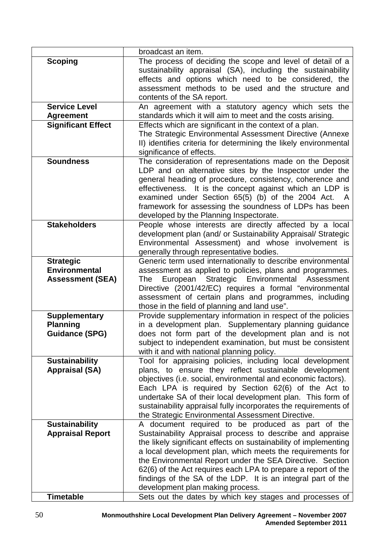|                           | broadcast an item.                                                                                                |
|---------------------------|-------------------------------------------------------------------------------------------------------------------|
| <b>Scoping</b>            | The process of deciding the scope and level of detail of a                                                        |
|                           | sustainability appraisal (SA), including the sustainability                                                       |
|                           | effects and options which need to be considered, the                                                              |
|                           | assessment methods to be used and the structure and                                                               |
|                           | contents of the SA report.                                                                                        |
| <b>Service Level</b>      | An agreement with a statutory agency which sets the                                                               |
| <b>Agreement</b>          | standards which it will aim to meet and the costs arising.                                                        |
| <b>Significant Effect</b> | Effects which are significant in the context of a plan.                                                           |
|                           | The Strategic Environmental Assessment Directive (Annexe                                                          |
|                           | II) identifies criteria for determining the likely environmental                                                  |
|                           | significance of effects.                                                                                          |
| <b>Soundness</b>          | The consideration of representations made on the Deposit                                                          |
|                           | LDP and on alternative sites by the Inspector under the                                                           |
|                           | general heading of procedure, consistency, coherence and                                                          |
|                           | effectiveness. It is the concept against which an LDP is                                                          |
|                           | examined under Section 65(5) (b) of the 2004 Act.<br>framework for assessing the soundness of LDPs has been       |
|                           | developed by the Planning Inspectorate.                                                                           |
| <b>Stakeholders</b>       | People whose interests are directly affected by a local                                                           |
|                           | development plan (and/ or Sustainability Appraisal/ Strategic                                                     |
|                           | Environmental Assessment) and whose involvement is                                                                |
|                           | generally through representative bodies.                                                                          |
| <b>Strategic</b>          | Generic term used internationally to describe environmental                                                       |
| <b>Environmental</b>      | assessment as applied to policies, plans and programmes.                                                          |
| <b>Assessment (SEA)</b>   | Strategic Environmental Assessment<br>European<br>The                                                             |
|                           | Directive (2001/42/EC) requires a formal "environmental                                                           |
|                           | assessment of certain plans and programmes, including                                                             |
|                           | those in the field of planning and land use".                                                                     |
| <b>Supplementary</b>      | Provide supplementary information in respect of the policies                                                      |
| <b>Planning</b>           | in a development plan. Supplementary planning guidance                                                            |
| <b>Guidance (SPG)</b>     | does not form part of the development plan and is not                                                             |
|                           | subject to independent examination, but must be consistent                                                        |
|                           | with it and with national planning policy.                                                                        |
| <b>Sustainability</b>     | Tool for appraising policies, including local development                                                         |
| <b>Appraisal (SA)</b>     | plans, to ensure they reflect sustainable development                                                             |
|                           | objectives (i.e. social, environmental and economic factors).                                                     |
|                           | Each LPA is required by Section 62(6) of the Act to<br>undertake SA of their local development plan. This form of |
|                           | sustainability appraisal fully incorporates the requirements of                                                   |
|                           | the Strategic Environmental Assessment Directive.                                                                 |
| <b>Sustainability</b>     | A document required to be produced as part of the                                                                 |
| <b>Appraisal Report</b>   | Sustainability Appraisal process to describe and appraise                                                         |
|                           | the likely significant effects on sustainability of implementing                                                  |
|                           | a local development plan, which meets the requirements for                                                        |
|                           | the Environmental Report under the SEA Directive. Section                                                         |
|                           | 62(6) of the Act requires each LPA to prepare a report of the                                                     |
|                           | findings of the SA of the LDP. It is an integral part of the                                                      |
|                           | development plan making process.                                                                                  |
| <b>Timetable</b>          | Sets out the dates by which key stages and processes of                                                           |
|                           |                                                                                                                   |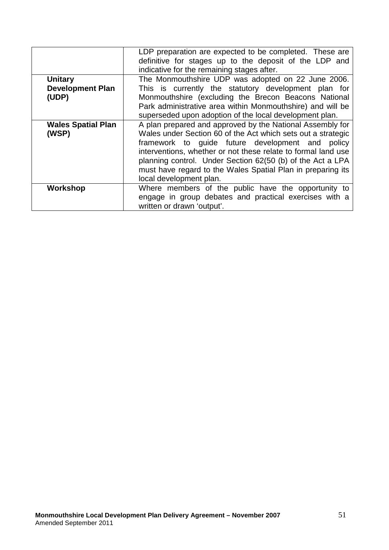|                           | LDP preparation are expected to be completed. These are       |
|---------------------------|---------------------------------------------------------------|
|                           | definitive for stages up to the deposit of the LDP and        |
|                           | indicative for the remaining stages after.                    |
| <b>Unitary</b>            | The Monmouthshire UDP was adopted on 22 June 2006.            |
| <b>Development Plan</b>   | This is currently the statutory development plan for          |
| (UDP)                     | Monmouthshire (excluding the Brecon Beacons National          |
|                           | Park administrative area within Monmouthshire) and will be    |
|                           | superseded upon adoption of the local development plan.       |
| <b>Wales Spatial Plan</b> | A plan prepared and approved by the National Assembly for     |
| (WSP)                     | Wales under Section 60 of the Act which sets out a strategic  |
|                           | framework to guide future development and policy              |
|                           | interventions, whether or not these relate to formal land use |
|                           | planning control. Under Section 62(50 (b) of the Act a LPA    |
|                           | must have regard to the Wales Spatial Plan in preparing its   |
|                           | local development plan.                                       |
| Workshop                  | Where members of the public have the opportunity to           |
|                           | engage in group debates and practical exercises with a        |
|                           | written or drawn 'output'.                                    |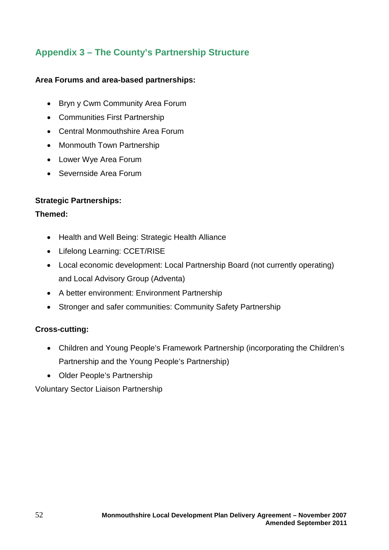## **Appendix 3 – The County's Partnership Structure**

#### **Area Forums and area-based partnerships:**

- Bryn y Cwm Community Area Forum
- Communities First Partnership
- Central Monmouthshire Area Forum
- Monmouth Town Partnership
- Lower Wye Area Forum
- Severnside Area Forum

#### **Strategic Partnerships:**

#### **Themed:**

- Health and Well Being: Strategic Health Alliance
- Lifelong Learning: CCET/RISE
- Local economic development: Local Partnership Board (not currently operating) and Local Advisory Group (Adventa)
- A better environment: Environment Partnership
- Stronger and safer communities: Community Safety Partnership

#### **Cross-cutting:**

- Children and Young People's Framework Partnership (incorporating the Children's Partnership and the Young People's Partnership)
- Older People's Partnership

Voluntary Sector Liaison Partnership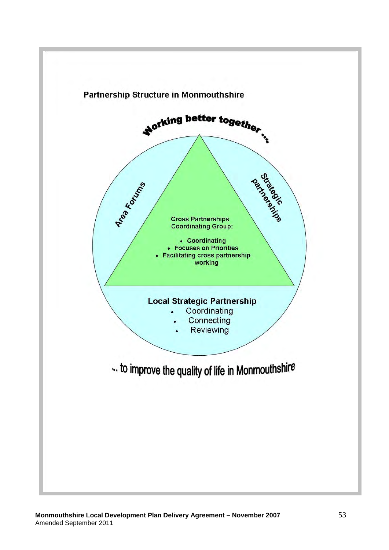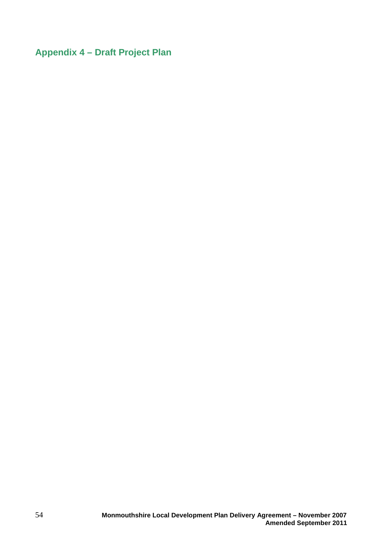## **Appendix 4 – Draft Project Plan**